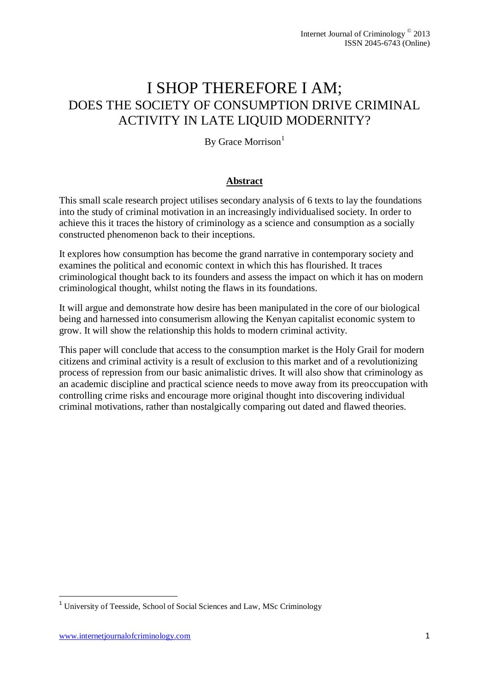# I SHOP THEREFORE I AM; DOES THE SOCIETY OF CONSUMPTION DRIVE CRIMINAL ACTIVITY IN LATE LIQUID MODERNITY?

By Grace Morrison $<sup>1</sup>$ </sup>

# **Abstract**

This small scale research project utilises secondary analysis of 6 texts to lay the foundations into the study of criminal motivation in an increasingly individualised society. In order to achieve this it traces the history of criminology as a science and consumption as a socially constructed phenomenon back to their inceptions.

It explores how consumption has become the grand narrative in contemporary society and examines the political and economic context in which this has flourished. It traces criminological thought back to its founders and assess the impact on which it has on modern criminological thought, whilst noting the flaws in its foundations.

It will argue and demonstrate how desire has been manipulated in the core of our biological being and harnessed into consumerism allowing the Kenyan capitalist economic system to grow. It will show the relationship this holds to modern criminal activity.

This paper will conclude that access to the consumption market is the Holy Grail for modern citizens and criminal activity is a result of exclusion to this market and of a revolutionizing process of repression from our basic animalistic drives. It will also show that criminology as an academic discipline and practical science needs to move away from its preoccupation with controlling crime risks and encourage more original thought into discovering individual criminal motivations, rather than nostalgically comparing out dated and flawed theories.

1

<sup>&</sup>lt;sup>1</sup> University of Teesside, School of Social Sciences and Law, MSc Criminology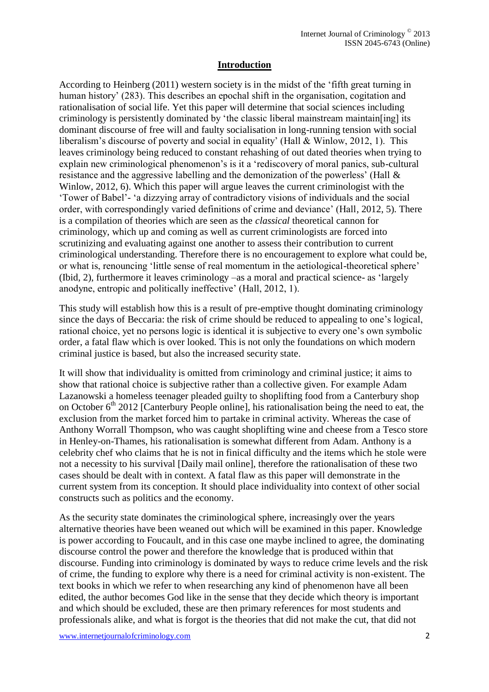## **Introduction**

According to Heinberg (2011) western society is in the midst of the 'fifth great turning in human history' (283). This describes an epochal shift in the organisation, cogitation and rationalisation of social life. Yet this paper will determine that social sciences including criminology is persistently dominated by 'the classic liberal mainstream maintain[ing] its dominant discourse of free will and faulty socialisation in long-running tension with social liberalism's discourse of poverty and social in equality' (Hall & Winlow, 2012, 1). This leaves criminology being reduced to constant rehashing of out dated theories when trying to explain new criminological phenomenon's is it a 'rediscovery of moral panics, sub-cultural resistance and the aggressive labelling and the demonization of the powerless' (Hall & Winlow, 2012, 6). Which this paper will argue leaves the current criminologist with the 'Tower of Babel'- 'a dizzying array of contradictory visions of individuals and the social order, with correspondingly varied definitions of crime and deviance' (Hall, 2012, 5). There is a compilation of theories which are seen as the *classical* theoretical cannon for criminology, which up and coming as well as current criminologists are forced into scrutinizing and evaluating against one another to assess their contribution to current criminological understanding. Therefore there is no encouragement to explore what could be, or what is, renouncing 'little sense of real momentum in the aetiological-theoretical sphere' (Ibid, 2), furthermore it leaves criminology –as a moral and practical science- as 'largely anodyne, entropic and politically ineffective' (Hall, 2012, 1).

This study will establish how this is a result of pre-emptive thought dominating criminology since the days of Beccaria: the risk of crime should be reduced to appealing to one's logical, rational choice, yet no persons logic is identical it is subjective to every one's own symbolic order, a fatal flaw which is over looked. This is not only the foundations on which modern criminal justice is based, but also the increased security state.

It will show that individuality is omitted from criminology and criminal justice; it aims to show that rational choice is subjective rather than a collective given. For example Adam Lazanowski a homeless teenager pleaded guilty to shoplifting food from a Canterbury shop on October  $6<sup>th</sup> 2012$  [Canterbury People online], his rationalisation being the need to eat, the exclusion from the market forced him to partake in criminal activity. Whereas the case of Anthony Worrall Thompson, who was caught shoplifting wine and cheese from a Tesco store in Henley-on-Thames, his rationalisation is somewhat different from Adam. Anthony is a celebrity chef who claims that he is not in finical difficulty and the items which he stole were not a necessity to his survival [Daily mail online], therefore the rationalisation of these two cases should be dealt with in context. A fatal flaw as this paper will demonstrate in the current system from its conception. It should place individuality into context of other social constructs such as politics and the economy.

As the security state dominates the criminological sphere, increasingly over the years alternative theories have been weaned out which will be examined in this paper. Knowledge is power according to Foucault, and in this case one maybe inclined to agree, the dominating discourse control the power and therefore the knowledge that is produced within that discourse. Funding into criminology is dominated by ways to reduce crime levels and the risk of crime, the funding to explore why there is a need for criminal activity is non-existent. The text books in which we refer to when researching any kind of phenomenon have all been edited, the author becomes God like in the sense that they decide which theory is important and which should be excluded, these are then primary references for most students and professionals alike, and what is forgot is the theories that did not make the cut, that did not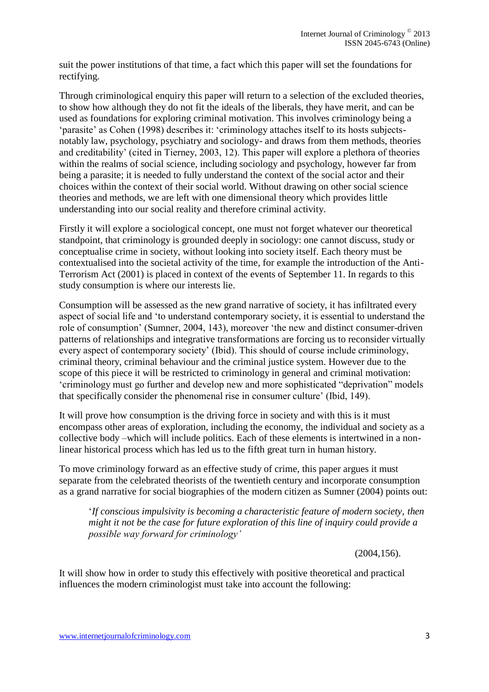suit the power institutions of that time, a fact which this paper will set the foundations for rectifying.

Through criminological enquiry this paper will return to a selection of the excluded theories, to show how although they do not fit the ideals of the liberals, they have merit, and can be used as foundations for exploring criminal motivation. This involves criminology being a 'parasite' as Cohen (1998) describes it: 'criminology attaches itself to its hosts subjectsnotably law, psychology, psychiatry and sociology- and draws from them methods, theories and creditability' (cited in Tierney, 2003, 12). This paper will explore a plethora of theories within the realms of social science, including sociology and psychology, however far from being a parasite; it is needed to fully understand the context of the social actor and their choices within the context of their social world. Without drawing on other social science theories and methods, we are left with one dimensional theory which provides little understanding into our social reality and therefore criminal activity.

Firstly it will explore a sociological concept, one must not forget whatever our theoretical standpoint, that criminology is grounded deeply in sociology: one cannot discuss, study or conceptualise crime in society, without looking into society itself. Each theory must be contextualised into the societal activity of the time, for example the introduction of the Anti-Terrorism Act (2001) is placed in context of the events of September 11. In regards to this study consumption is where our interests lie.

Consumption will be assessed as the new grand narrative of society, it has infiltrated every aspect of social life and 'to understand contemporary society, it is essential to understand the role of consumption' (Sumner, 2004, 143), moreover 'the new and distinct consumer-driven patterns of relationships and integrative transformations are forcing us to reconsider virtually every aspect of contemporary society' (Ibid). This should of course include criminology, criminal theory, criminal behaviour and the criminal justice system. However due to the scope of this piece it will be restricted to criminology in general and criminal motivation: 'criminology must go further and develop new and more sophisticated "deprivation" models that specifically consider the phenomenal rise in consumer culture' (Ibid, 149).

It will prove how consumption is the driving force in society and with this is it must encompass other areas of exploration, including the economy, the individual and society as a collective body –which will include politics. Each of these elements is intertwined in a nonlinear historical process which has led us to the fifth great turn in human history.

To move criminology forward as an effective study of crime, this paper argues it must separate from the celebrated theorists of the twentieth century and incorporate consumption as a grand narrative for social biographies of the modern citizen as Sumner (2004) points out:

'*If conscious impulsivity is becoming a characteristic feature of modern society, then might it not be the case for future exploration of this line of inquiry could provide a possible way forward for criminology'* 

(2004,156).

It will show how in order to study this effectively with positive theoretical and practical influences the modern criminologist must take into account the following: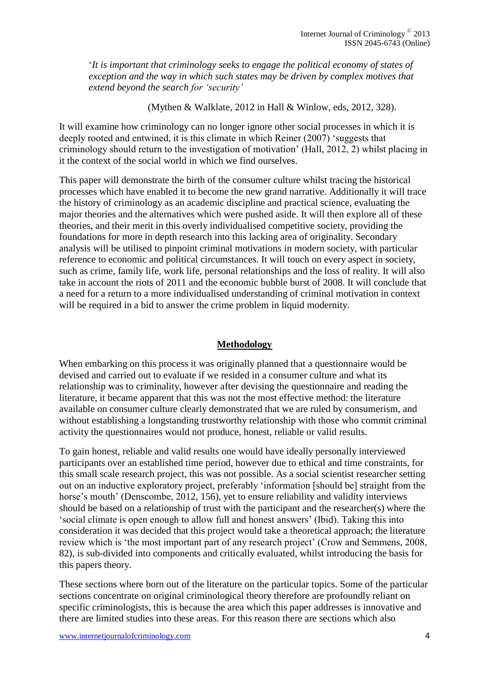'*It is important that criminology seeks to engage the political economy of states of exception and the way in which such states may be driven by complex motives that extend beyond the search for 'security'* 

(Mythen & Walklate, 2012 in Hall & Winlow, eds, 2012, 328).

It will examine how criminology can no longer ignore other social processes in which it is deeply rooted and entwined, it is this climate in which Reiner (2007) 'suggests that criminology should return to the investigation of motivation' (Hall, 2012, 2) whilst placing in it the context of the social world in which we find ourselves.

This paper will demonstrate the birth of the consumer culture whilst tracing the historical processes which have enabled it to become the new grand narrative. Additionally it will trace the history of criminology as an academic discipline and practical science, evaluating the major theories and the alternatives which were pushed aside. It will then explore all of these theories, and their merit in this overly individualised competitive society, providing the foundations for more in depth research into this lacking area of originality. Secondary analysis will be utilised to pinpoint criminal motivations in modern society, with particular reference to economic and political circumstances. It will touch on every aspect in society, such as crime, family life, work life, personal relationships and the loss of reality. It will also take in account the riots of 2011 and the economic bubble burst of 2008. It will conclude that a need for a return to a more individualised understanding of criminal motivation in context will be required in a bid to answer the crime problem in liquid modernity.

#### **Methodology**

When embarking on this process it was originally planned that a questionnaire would be devised and carried out to evaluate if we resided in a consumer culture and what its relationship was to criminality, however after devising the questionnaire and reading the literature, it became apparent that this was not the most effective method: the literature available on consumer culture clearly demonstrated that we are ruled by consumerism, and without establishing a longstanding trustworthy relationship with those who commit criminal activity the questionnaires would not produce, honest, reliable or valid results.

To gain honest, reliable and valid results one would have ideally personally interviewed participants over an established time period, however due to ethical and time constraints, for this small scale research project, this was not possible. As a social scientist researcher setting out on an inductive exploratory project, preferably 'information [should be] straight from the horse's mouth' (Denscombe, 2012, 156), yet to ensure reliability and validity interviews should be based on a relationship of trust with the participant and the researcher(s) where the 'social climate is open enough to allow full and honest answers' (Ibid). Taking this into consideration it was decided that this project would take a theoretical approach; the literature review which is 'the most important part of any research project' (Crow and Semmens, 2008, 82), is sub-divided into components and critically evaluated, whilst introducing the basis for this papers theory.

These sections where born out of the literature on the particular topics. Some of the particular sections concentrate on original criminological theory therefore are profoundly reliant on specific criminologists, this is because the area which this paper addresses is innovative and there are limited studies into these areas. For this reason there are sections which also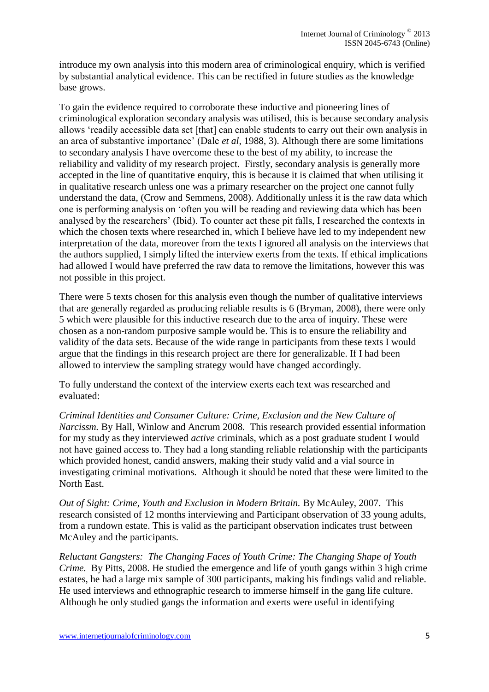introduce my own analysis into this modern area of criminological enquiry, which is verified by substantial analytical evidence. This can be rectified in future studies as the knowledge base grows.

To gain the evidence required to corroborate these inductive and pioneering lines of criminological exploration secondary analysis was utilised, this is because secondary analysis allows 'readily accessible data set [that] can enable students to carry out their own analysis in an area of substantive importance' (Dale *et al,* 1988, 3). Although there are some limitations to secondary analysis I have overcome these to the best of my ability, to increase the reliability and validity of my research project. Firstly, secondary analysis is generally more accepted in the line of quantitative enquiry, this is because it is claimed that when utilising it in qualitative research unless one was a primary researcher on the project one cannot fully understand the data, (Crow and Semmens, 2008). Additionally unless it is the raw data which one is performing analysis on 'often you will be reading and reviewing data which has been analysed by the researchers' (Ibid). To counter act these pit falls, I researched the contexts in which the chosen texts where researched in, which I believe have led to my independent new interpretation of the data, moreover from the texts I ignored all analysis on the interviews that the authors supplied, I simply lifted the interview exerts from the texts. If ethical implications had allowed I would have preferred the raw data to remove the limitations, however this was not possible in this project.

There were 5 texts chosen for this analysis even though the number of qualitative interviews that are generally regarded as producing reliable results is 6 (Bryman, 2008), there were only 5 which were plausible for this inductive research due to the area of inquiry. These were chosen as a non-random purposive sample would be. This is to ensure the reliability and validity of the data sets. Because of the wide range in participants from these texts I would argue that the findings in this research project are there for generalizable. If I had been allowed to interview the sampling strategy would have changed accordingly.

To fully understand the context of the interview exerts each text was researched and evaluated:

*Criminal Identities and Consumer Culture: Crime, Exclusion and the New Culture of Narcissm.* By Hall, Winlow and Ancrum 2008. This research provided essential information for my study as they interviewed *active* criminals, which as a post graduate student I would not have gained access to. They had a long standing reliable relationship with the participants which provided honest, candid answers, making their study valid and a vial source in investigating criminal motivations. Although it should be noted that these were limited to the North East.

*Out of Sight: Crime, Youth and Exclusion in Modern Britain.* By McAuley, 2007. This research consisted of 12 months interviewing and Participant observation of 33 young adults, from a rundown estate. This is valid as the participant observation indicates trust between McAuley and the participants.

*Reluctant Gangsters: The Changing Faces of Youth Crime: The Changing Shape of Youth Crime.* By Pitts, 2008. He studied the emergence and life of youth gangs within 3 high crime estates, he had a large mix sample of 300 participants, making his findings valid and reliable. He used interviews and ethnographic research to immerse himself in the gang life culture. Although he only studied gangs the information and exerts were useful in identifying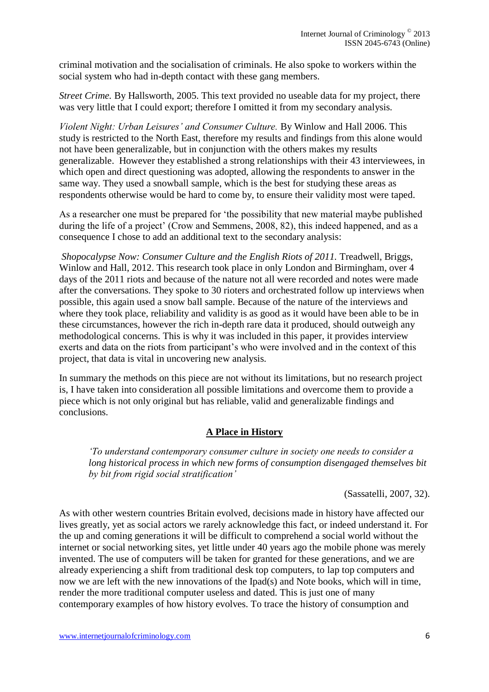criminal motivation and the socialisation of criminals. He also spoke to workers within the social system who had in-depth contact with these gang members.

*Street Crime.* By Hallsworth, 2005. This text provided no useable data for my project, there was very little that I could export; therefore I omitted it from my secondary analysis.

*Violent Night: Urban Leisures' and Consumer Culture.* By Winlow and Hall 2006. This study is restricted to the North East, therefore my results and findings from this alone would not have been generalizable, but in conjunction with the others makes my results generalizable. However they established a strong relationships with their 43 interviewees, in which open and direct questioning was adopted, allowing the respondents to answer in the same way. They used a snowball sample, which is the best for studying these areas as respondents otherwise would be hard to come by, to ensure their validity most were taped.

As a researcher one must be prepared for 'the possibility that new material maybe published during the life of a project' (Crow and Semmens, 2008, 82), this indeed happened, and as a consequence I chose to add an additional text to the secondary analysis:

*Shopocalypse Now: Consumer Culture and the English Riots of 2011.* Treadwell, Briggs, Winlow and Hall, 2012. This research took place in only London and Birmingham, over 4 days of the 2011 riots and because of the nature not all were recorded and notes were made after the conversations. They spoke to 30 rioters and orchestrated follow up interviews when possible, this again used a snow ball sample. Because of the nature of the interviews and where they took place, reliability and validity is as good as it would have been able to be in these circumstances, however the rich in-depth rare data it produced, should outweigh any methodological concerns. This is why it was included in this paper, it provides interview exerts and data on the riots from participant's who were involved and in the context of this project, that data is vital in uncovering new analysis.

In summary the methods on this piece are not without its limitations, but no research project is, I have taken into consideration all possible limitations and overcome them to provide a piece which is not only original but has reliable, valid and generalizable findings and conclusions.

# **A Place in History**

*'To understand contemporary consumer culture in society one needs to consider a long historical process in which new forms of consumption disengaged themselves bit by bit from rigid social stratification'* 

#### (Sassatelli, 2007, 32).

As with other western countries Britain evolved, decisions made in history have affected our lives greatly, yet as social actors we rarely acknowledge this fact, or indeed understand it. For the up and coming generations it will be difficult to comprehend a social world without the internet or social networking sites, yet little under 40 years ago the mobile phone was merely invented. The use of computers will be taken for granted for these generations, and we are already experiencing a shift from traditional desk top computers, to lap top computers and now we are left with the new innovations of the Ipad(s) and Note books, which will in time, render the more traditional computer useless and dated. This is just one of many contemporary examples of how history evolves. To trace the history of consumption and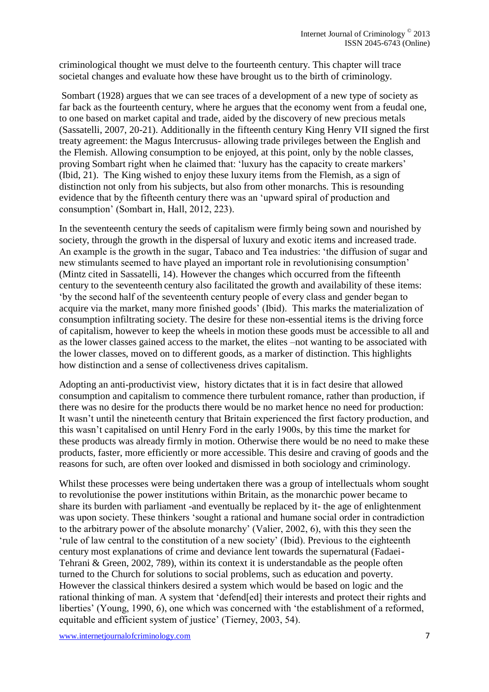criminological thought we must delve to the fourteenth century. This chapter will trace societal changes and evaluate how these have brought us to the birth of criminology.

Sombart (1928) argues that we can see traces of a development of a new type of society as far back as the fourteenth century, where he argues that the economy went from a feudal one, to one based on market capital and trade, aided by the discovery of new precious metals (Sassatelli, 2007, 20-21). Additionally in the fifteenth century King Henry VII signed the first treaty agreement: the Magus Intercrusus- allowing trade privileges between the English and the Flemish. Allowing consumption to be enjoyed, at this point, only by the noble classes, proving Sombart right when he claimed that: 'luxury has the capacity to create markers' (Ibid, 21). The King wished to enjoy these luxury items from the Flemish, as a sign of distinction not only from his subjects, but also from other monarchs. This is resounding evidence that by the fifteenth century there was an 'upward spiral of production and consumption' (Sombart in, Hall, 2012, 223).

In the seventeenth century the seeds of capitalism were firmly being sown and nourished by society, through the growth in the dispersal of luxury and exotic items and increased trade. An example is the growth in the sugar, Tabaco and Tea industries: 'the diffusion of sugar and new stimulants seemed to have played an important role in revolutionising consumption' (Mintz cited in Sassatelli, 14). However the changes which occurred from the fifteenth century to the seventeenth century also facilitated the growth and availability of these items: 'by the second half of the seventeenth century people of every class and gender began to acquire via the market, many more finished goods' (Ibid). This marks the materialization of consumption infiltrating society. The desire for these non-essential items is the driving force of capitalism, however to keep the wheels in motion these goods must be accessible to all and as the lower classes gained access to the market, the elites –not wanting to be associated with the lower classes, moved on to different goods, as a marker of distinction. This highlights how distinction and a sense of collectiveness drives capitalism.

Adopting an anti-productivist view, history dictates that it is in fact desire that allowed consumption and capitalism to commence there turbulent romance, rather than production, if there was no desire for the products there would be no market hence no need for production: It wasn't until the nineteenth century that Britain experienced the first factory production, and this wasn't capitalised on until Henry Ford in the early 1900s, by this time the market for these products was already firmly in motion. Otherwise there would be no need to make these products, faster, more efficiently or more accessible. This desire and craving of goods and the reasons for such, are often over looked and dismissed in both sociology and criminology.

Whilst these processes were being undertaken there was a group of intellectuals whom sought to revolutionise the power institutions within Britain, as the monarchic power became to share its burden with parliament -and eventually be replaced by it- the age of enlightenment was upon society. These thinkers 'sought a rational and humane social order in contradiction to the arbitrary power of the absolute monarchy' (Valier, 2002, 6), with this they seen the 'rule of law central to the constitution of a new society' (Ibid). Previous to the eighteenth century most explanations of crime and deviance lent towards the supernatural (Fadaei-Tehrani & Green, 2002, 789), within its context it is understandable as the people often turned to the Church for solutions to social problems, such as education and poverty. However the classical thinkers desired a system which would be based on logic and the rational thinking of man. A system that 'defend[ed] their interests and protect their rights and liberties' (Young, 1990, 6), one which was concerned with 'the establishment of a reformed, equitable and efficient system of justice' (Tierney, 2003, 54).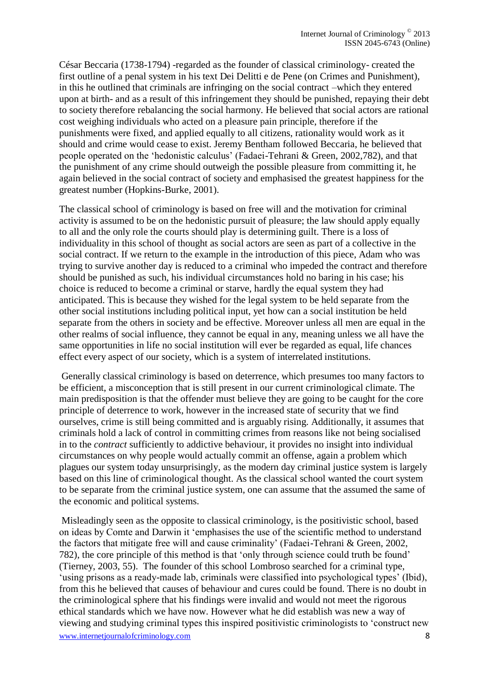César Beccaria (1738-1794) -regarded as the founder of classical criminology- created the first outline of a penal system in his text Dei Delitti e de Pene (on Crimes and Punishment), in this he outlined that criminals are infringing on the social contract –which they entered upon at birth- and as a result of this infringement they should be punished, repaying their debt to society therefore rebalancing the social harmony. He believed that social actors are rational cost weighing individuals who acted on a pleasure pain principle, therefore if the punishments were fixed, and applied equally to all citizens, rationality would work as it should and crime would cease to exist. Jeremy Bentham followed Beccaria, he believed that people operated on the 'hedonistic calculus' (Fadaei-Tehrani & Green, 2002,782), and that the punishment of any crime should outweigh the possible pleasure from committing it, he again believed in the social contract of society and emphasised the greatest happiness for the greatest number (Hopkins-Burke, 2001).

The classical school of criminology is based on free will and the motivation for criminal activity is assumed to be on the hedonistic pursuit of pleasure; the law should apply equally to all and the only role the courts should play is determining guilt. There is a loss of individuality in this school of thought as social actors are seen as part of a collective in the social contract. If we return to the example in the introduction of this piece, Adam who was trying to survive another day is reduced to a criminal who impeded the contract and therefore should be punished as such, his individual circumstances hold no baring in his case; his choice is reduced to become a criminal or starve, hardly the equal system they had anticipated. This is because they wished for the legal system to be held separate from the other social institutions including political input, yet how can a social institution be held separate from the others in society and be effective. Moreover unless all men are equal in the other realms of social influence, they cannot be equal in any, meaning unless we all have the same opportunities in life no social institution will ever be regarded as equal, life chances effect every aspect of our society, which is a system of interrelated institutions.

Generally classical criminology is based on deterrence, which presumes too many factors to be efficient, a misconception that is still present in our current criminological climate. The main predisposition is that the offender must believe they are going to be caught for the core principle of deterrence to work, however in the increased state of security that we find ourselves, crime is still being committed and is arguably rising. Additionally, it assumes that criminals hold a lack of control in committing crimes from reasons like not being socialised in to the *contract* sufficiently to addictive behaviour, it provides no insight into individual circumstances on why people would actually commit an offense, again a problem which plagues our system today unsurprisingly, as the modern day criminal justice system is largely based on this line of criminological thought. As the classical school wanted the court system to be separate from the criminal justice system, one can assume that the assumed the same of the economic and political systems.

www.internetjournalofcriminology.com 8 Misleadingly seen as the opposite to classical criminology, is the positivistic school, based on ideas by Comte and Darwin it 'emphasises the use of the scientific method to understand the factors that mitigate free will and cause criminality' (Fadaei-Tehrani & Green, 2002, 782), the core principle of this method is that 'only through science could truth be found' (Tierney, 2003, 55). The founder of this school Lombroso searched for a criminal type, 'using prisons as a ready-made lab, criminals were classified into psychological types' (Ibid), from this he believed that causes of behaviour and cures could be found. There is no doubt in the criminological sphere that his findings were invalid and would not meet the rigorous ethical standards which we have now. However what he did establish was new a way of viewing and studying criminal types this inspired positivistic criminologists to 'construct new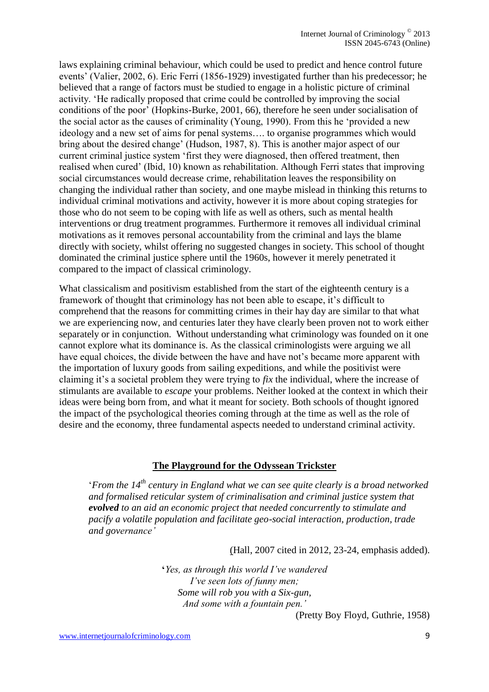laws explaining criminal behaviour, which could be used to predict and hence control future events' (Valier, 2002, 6). Eric Ferri (1856-1929) investigated further than his predecessor; he believed that a range of factors must be studied to engage in a holistic picture of criminal activity. 'He radically proposed that crime could be controlled by improving the social conditions of the poor' (Hopkins-Burke, 2001, 66), therefore he seen under socialisation of the social actor as the causes of criminality (Young, 1990). From this he 'provided a new ideology and a new set of aims for penal systems…. to organise programmes which would bring about the desired change' (Hudson, 1987, 8). This is another major aspect of our current criminal justice system 'first they were diagnosed, then offered treatment, then realised when cured' (Ibid, 10) known as rehabilitation. Although Ferri states that improving social circumstances would decrease crime, rehabilitation leaves the responsibility on changing the individual rather than society, and one maybe mislead in thinking this returns to individual criminal motivations and activity, however it is more about coping strategies for those who do not seem to be coping with life as well as others, such as mental health interventions or drug treatment programmes. Furthermore it removes all individual criminal motivations as it removes personal accountability from the criminal and lays the blame directly with society, whilst offering no suggested changes in society. This school of thought dominated the criminal justice sphere until the 1960s, however it merely penetrated it compared to the impact of classical criminology.

What classicalism and positivism established from the start of the eighteenth century is a framework of thought that criminology has not been able to escape, it's difficult to comprehend that the reasons for committing crimes in their hay day are similar to that what we are experiencing now, and centuries later they have clearly been proven not to work either separately or in conjunction. Without understanding what criminology was founded on it one cannot explore what its dominance is. As the classical criminologists were arguing we all have equal choices, the divide between the have and have not's became more apparent with the importation of luxury goods from sailing expeditions, and while the positivist were claiming it's a societal problem they were trying to *fix* the individual, where the increase of stimulants are available to *escape* your problems. Neither looked at the context in which their ideas were being born from, and what it meant for society. Both schools of thought ignored the impact of the psychological theories coming through at the time as well as the role of desire and the economy, three fundamental aspects needed to understand criminal activity.

## **The Playground for the Odyssean Trickster**

'*From the 14th century in England what we can see quite clearly is a broad networked and formalised reticular system of criminalisation and criminal justice system that evolved to an aid an economic project that needed concurrently to stimulate and pacify a volatile population and facilitate geo-social interaction, production, trade and governance'*

(Hall, 2007 cited in 2012, 23-24, emphasis added).

**'***Yes, as through this world I've wandered I've seen lots of funny men; Some will rob you with a Six-gun, And some with a fountain pen.'*

(Pretty Boy Floyd, Guthrie, 1958)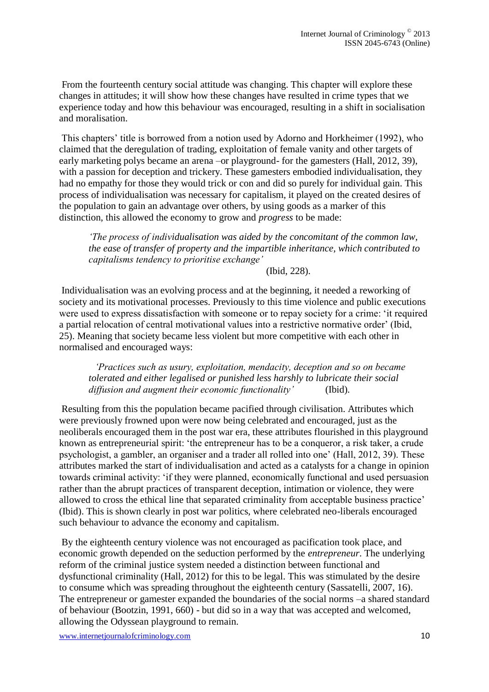From the fourteenth century social attitude was changing. This chapter will explore these changes in attitudes; it will show how these changes have resulted in crime types that we experience today and how this behaviour was encouraged, resulting in a shift in socialisation and moralisation.

This chapters' title is borrowed from a notion used by Adorno and Horkheimer (1992), who claimed that the deregulation of trading, exploitation of female vanity and other targets of early marketing polys became an arena –or playground- for the gamesters (Hall, 2012, 39), with a passion for deception and trickery. These gamesters embodied individualisation, they had no empathy for those they would trick or con and did so purely for individual gain. This process of individualisation was necessary for capitalism, it played on the created desires of the population to gain an advantage over others, by using goods as a marker of this distinction, this allowed the economy to grow and *progress* to be made:

*'The process of individualisation was aided by the concomitant of the common law, the ease of transfer of property and the impartible inheritance, which contributed to capitalisms tendency to prioritise exchange'*

(Ibid, 228).

Individualisation was an evolving process and at the beginning, it needed a reworking of society and its motivational processes. Previously to this time violence and public executions were used to express dissatisfaction with someone or to repay society for a crime: 'it required a partial relocation of central motivational values into a restrictive normative order' (Ibid, 25). Meaning that society became less violent but more competitive with each other in normalised and encouraged ways:

*'Practices such as usury, exploitation, mendacity, deception and so on became tolerated and either legalised or punished less harshly to lubricate their social diffusion and augment their economic functionality'* (Ibid)*.* 

Resulting from this the population became pacified through civilisation. Attributes which were previously frowned upon were now being celebrated and encouraged, just as the neoliberals encouraged them in the post war era, these attributes flourished in this playground known as entrepreneurial spirit: 'the entrepreneur has to be a conqueror, a risk taker, a crude psychologist, a gambler, an organiser and a trader all rolled into one' (Hall, 2012, 39). These attributes marked the start of individualisation and acted as a catalysts for a change in opinion towards criminal activity: 'if they were planned, economically functional and used persuasion rather than the abrupt practices of transparent deception, intimation or violence, they were allowed to cross the ethical line that separated criminality from acceptable business practice' (Ibid). This is shown clearly in post war politics, where celebrated neo-liberals encouraged such behaviour to advance the economy and capitalism.

By the eighteenth century violence was not encouraged as pacification took place, and economic growth depended on the seduction performed by the *entrepreneur*. The underlying reform of the criminal justice system needed a distinction between functional and dysfunctional criminality (Hall, 2012) for this to be legal. This was stimulated by the desire to consume which was spreading throughout the eighteenth century (Sassatelli, 2007, 16). The entrepreneur or gamester expanded the boundaries of the social norms –a shared standard of behaviour (Bootzin, 1991, 660) - but did so in a way that was accepted and welcomed, allowing the Odyssean playground to remain.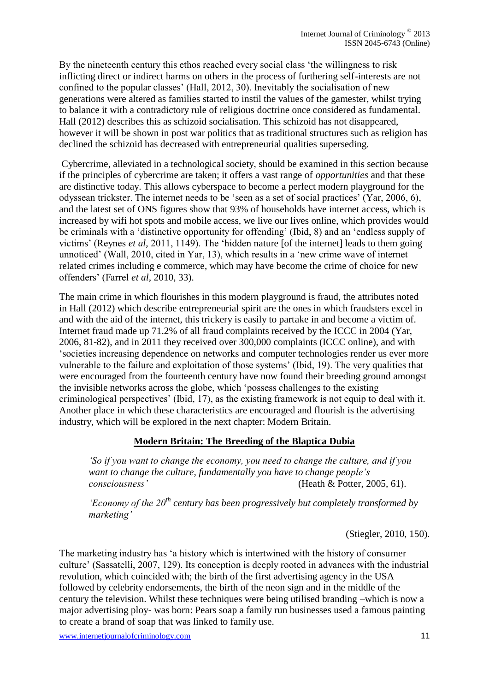By the nineteenth century this ethos reached every social class 'the willingness to risk inflicting direct or indirect harms on others in the process of furthering self-interests are not confined to the popular classes' (Hall, 2012, 30). Inevitably the socialisation of new generations were altered as families started to instil the values of the gamester, whilst trying to balance it with a contradictory rule of religious doctrine once considered as fundamental. Hall (2012) describes this as schizoid socialisation. This schizoid has not disappeared, however it will be shown in post war politics that as traditional structures such as religion has declined the schizoid has decreased with entrepreneurial qualities superseding.

Cybercrime, alleviated in a technological society, should be examined in this section because if the principles of cybercrime are taken; it offers a vast range of *opportunities* and that these are distinctive today. This allows cyberspace to become a perfect modern playground for the odyssean trickster. The internet needs to be 'seen as a set of social practices' (Yar, 2006, 6), and the latest set of ONS figures show that 93% of households have internet access, which is increased by wifi hot spots and mobile access, we live our lives online, which provides would be criminals with a 'distinctive opportunity for offending' (Ibid, 8) and an 'endless supply of victims' (Reynes *et al,* 2011, 1149). The 'hidden nature [of the internet] leads to them going unnoticed' (Wall, 2010, cited in Yar, 13), which results in a 'new crime wave of internet related crimes including e commerce, which may have become the crime of choice for new offenders' (Farrel *et al,* 2010, 33).

The main crime in which flourishes in this modern playground is fraud, the attributes noted in Hall (2012) which describe entrepreneurial spirit are the ones in which fraudsters excel in and with the aid of the internet, this trickery is easily to partake in and become a victim of. Internet fraud made up 71.2% of all fraud complaints received by the ICCC in 2004 (Yar, 2006, 81-82), and in 2011 they received over 300,000 complaints (ICCC online), and with 'societies increasing dependence on networks and computer technologies render us ever more vulnerable to the failure and exploitation of those systems' (Ibid, 19). The very qualities that were encouraged from the fourteenth century have now found their breeding ground amongst the invisible networks across the globe, which 'possess challenges to the existing criminological perspectives' (Ibid, 17), as the existing framework is not equip to deal with it. Another place in which these characteristics are encouraged and flourish is the advertising industry, which will be explored in the next chapter: Modern Britain.

## **Modern Britain: The Breeding of the Blaptica Dubia**

*'So if you want to change the economy, you need to change the culture, and if you want to change the culture, fundamentally you have to change people's consciousness'* (Heath & Potter, 2005, 61).

*'Economy of the 20th century has been progressively but completely transformed by marketing'*

(Stiegler, 2010, 150).

The marketing industry has 'a history which is intertwined with the history of consumer culture' (Sassatelli, 2007, 129). Its conception is deeply rooted in advances with the industrial revolution, which coincided with; the birth of the first advertising agency in the USA followed by celebrity endorsements, the birth of the neon sign and in the middle of the century the television. Whilst these techniques were being utilised branding –which is now a major advertising ploy- was born: Pears soap a family run businesses used a famous painting to create a brand of soap that was linked to family use.

www.internetjournalofcriminology.com 11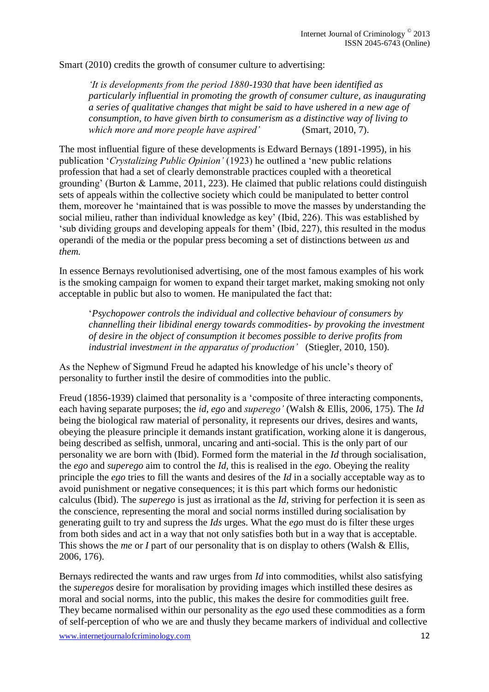Smart (2010) credits the growth of consumer culture to advertising:

*'It is developments from the period 1880-1930 that have been identified as particularly influential in promoting the growth of consumer culture, as inaugurating a series of qualitative changes that might be said to have ushered in a new age of consumption, to have given birth to consumerism as a distinctive way of living to which more and more people have aspired'* (Smart, 2010, 7).

The most influential figure of these developments is Edward Bernays (1891-1995), in his publication '*Crystalizing Public Opinion'* (1923) he outlined a 'new public relations profession that had a set of clearly demonstrable practices coupled with a theoretical grounding' (Burton & Lamme, 2011, 223). He claimed that public relations could distinguish sets of appeals within the collective society which could be manipulated to better control them, moreover he 'maintained that is was possible to move the masses by understanding the social milieu, rather than individual knowledge as key' (Ibid, 226). This was established by 'sub dividing groups and developing appeals for them' (Ibid, 227), this resulted in the modus operandi of the media or the popular press becoming a set of distinctions between *us* and *them.* 

In essence Bernays revolutionised advertising, one of the most famous examples of his work is the smoking campaign for women to expand their target market, making smoking not only acceptable in public but also to women. He manipulated the fact that:

'*Psychopower controls the individual and collective behaviour of consumers by channelling their libidinal energy towards commodities- by provoking the investment of desire in the object of consumption it becomes possible to derive profits from industrial investment in the apparatus of production'* (Stiegler, 2010, 150).

As the Nephew of Sigmund Freud he adapted his knowledge of his uncle's theory of personality to further instil the desire of commodities into the public.

Freud (1856-1939) claimed that personality is a 'composite of three interacting components, each having separate purposes; the *id, ego* and *superego'* (Walsh & Ellis, 2006, 175). The *Id*  being the biological raw material of personality, it represents our drives, desires and wants, obeying the pleasure principle it demands instant gratification, working alone it is dangerous, being described as selfish, unmoral, uncaring and anti-social. This is the only part of our personality we are born with (Ibid). Formed form the material in the *Id* through socialisation*,*  the *ego* and *superego* aim to control the *Id*, this is realised in the *ego*. Obeying the reality principle the *ego* tries to fill the wants and desires of the *Id* in a socially acceptable way as to avoid punishment or negative consequences; it is this part which forms our hedonistic calculus (Ibid). The *superego* is just as irrational as the *Id*, striving for perfection it is seen as the conscience, representing the moral and social norms instilled during socialisation by generating guilt to try and supress the *Ids* urges. What the *ego* must do is filter these urges from both sides and act in a way that not only satisfies both but in a way that is acceptable. This shows the *me* or *I* part of our personality that is on display to others (Walsh & Ellis, 2006, 176).

Bernays redirected the wants and raw urges from *Id* into commodities, whilst also satisfying the *superegos* desire for moralisation by providing images which instilled these desires as moral and social norms, into the public, this makes the desire for commodities guilt free. They became normalised within our personality as the *ego* used these commodities as a form of self-perception of who we are and thusly they became markers of individual and collective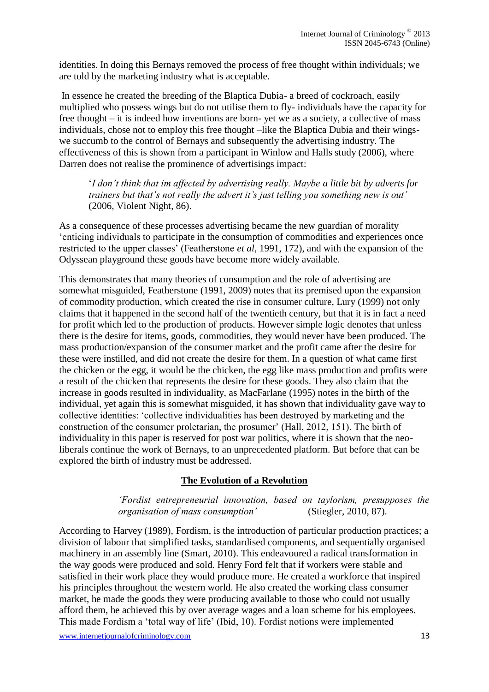identities. In doing this Bernays removed the process of free thought within individuals; we are told by the marketing industry what is acceptable.

In essence he created the breeding of the Blaptica Dubia- a breed of cockroach, easily multiplied who possess wings but do not utilise them to fly- individuals have the capacity for free thought – it is indeed how inventions are born- yet we as a society, a collective of mass individuals, chose not to employ this free thought –like the Blaptica Dubia and their wingswe succumb to the control of Bernays and subsequently the advertising industry. The effectiveness of this is shown from a participant in Winlow and Halls study (2006), where Darren does not realise the prominence of advertisings impact:

'*I don't think that im affected by advertising really. Maybe a little bit by adverts for trainers but that's not really the advert it's just telling you something new is out'*  (2006, Violent Night, 86).

As a consequence of these processes advertising became the new guardian of morality 'enticing individuals to participate in the consumption of commodities and experiences once restricted to the upper classes' (Featherstone *et al*, 1991, 172), and with the expansion of the Odyssean playground these goods have become more widely available.

This demonstrates that many theories of consumption and the role of advertising are somewhat misguided, Featherstone (1991, 2009) notes that its premised upon the expansion of commodity production, which created the rise in consumer culture, Lury (1999) not only claims that it happened in the second half of the twentieth century, but that it is in fact a need for profit which led to the production of products. However simple logic denotes that unless there is the desire for items, goods, commodities, they would never have been produced. The mass production/expansion of the consumer market and the profit came after the desire for these were instilled, and did not create the desire for them. In a question of what came first the chicken or the egg, it would be the chicken, the egg like mass production and profits were a result of the chicken that represents the desire for these goods. They also claim that the increase in goods resulted in individuality, as MacFarlane (1995) notes in the birth of the individual, yet again this is somewhat misguided, it has shown that individuality gave way to collective identities: 'collective individualities has been destroyed by marketing and the construction of the consumer proletarian, the prosumer' (Hall, 2012, 151). The birth of individuality in this paper is reserved for post war politics, where it is shown that the neoliberals continue the work of Bernays, to an unprecedented platform. But before that can be explored the birth of industry must be addressed.

## **The Evolution of a Revolution**

*'Fordist entrepreneurial innovation, based on taylorism, presupposes the organisation of mass consumption'* (Stiegler, 2010, 87).

According to Harvey (1989), Fordism, is the introduction of particular production practices; a division of labour that simplified tasks, standardised components, and sequentially organised machinery in an assembly line (Smart, 2010). This endeavoured a radical transformation in the way goods were produced and sold. Henry Ford felt that if workers were stable and satisfied in their work place they would produce more. He created a workforce that inspired his principles throughout the western world. He also created the working class consumer market, he made the goods they were producing available to those who could not usually afford them, he achieved this by over average wages and a loan scheme for his employees. This made Fordism a 'total way of life' (Ibid, 10). Fordist notions were implemented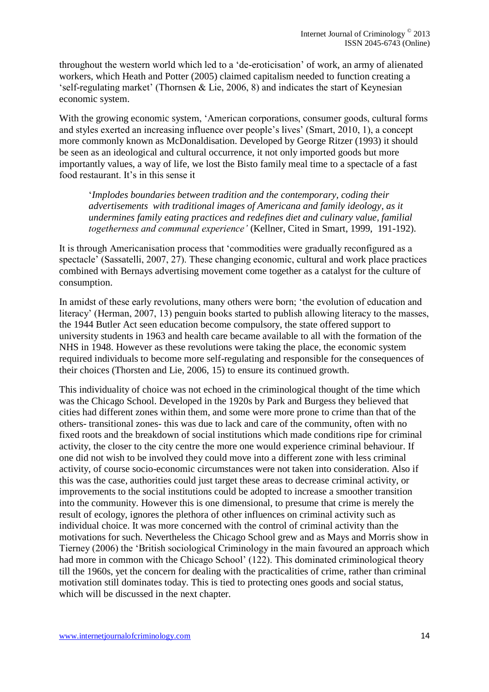throughout the western world which led to a 'de-eroticisation' of work, an army of alienated workers, which Heath and Potter (2005) claimed capitalism needed to function creating a 'self-regulating market' (Thornsen & Lie, 2006, 8) and indicates the start of Keynesian economic system.

With the growing economic system, 'American corporations, consumer goods, cultural forms and styles exerted an increasing influence over people's lives' (Smart, 2010, 1), a concept more commonly known as McDonaldisation. Developed by George Ritzer (1993) it should be seen as an ideological and cultural occurrence, it not only imported goods but more importantly values, a way of life, we lost the Bisto family meal time to a spectacle of a fast food restaurant. It's in this sense it

'*Implodes boundaries between tradition and the contemporary, coding their advertisements with traditional images of Americana and family ideology, as it undermines family eating practices and redefines diet and culinary value, familial togetherness and communal experience'* (Kellner, Cited in Smart, 1999, 191-192).

It is through Americanisation process that 'commodities were gradually reconfigured as a spectacle' (Sassatelli, 2007, 27). These changing economic, cultural and work place practices combined with Bernays advertising movement come together as a catalyst for the culture of consumption.

In amidst of these early revolutions, many others were born; 'the evolution of education and literacy' (Herman, 2007, 13) penguin books started to publish allowing literacy to the masses, the 1944 Butler Act seen education become compulsory, the state offered support to university students in 1963 and health care became available to all with the formation of the NHS in 1948. However as these revolutions were taking the place, the economic system required individuals to become more self-regulating and responsible for the consequences of their choices (Thorsten and Lie, 2006, 15) to ensure its continued growth.

This individuality of choice was not echoed in the criminological thought of the time which was the Chicago School. Developed in the 1920s by Park and Burgess they believed that cities had different zones within them, and some were more prone to crime than that of the others- transitional zones- this was due to lack and care of the community, often with no fixed roots and the breakdown of social institutions which made conditions ripe for criminal activity, the closer to the city centre the more one would experience criminal behaviour. If one did not wish to be involved they could move into a different zone with less criminal activity, of course socio-economic circumstances were not taken into consideration. Also if this was the case, authorities could just target these areas to decrease criminal activity, or improvements to the social institutions could be adopted to increase a smoother transition into the community. However this is one dimensional, to presume that crime is merely the result of ecology, ignores the plethora of other influences on criminal activity such as individual choice. It was more concerned with the control of criminal activity than the motivations for such. Nevertheless the Chicago School grew and as Mays and Morris show in Tierney (2006) the 'British sociological Criminology in the main favoured an approach which had more in common with the Chicago School' (122). This dominated criminological theory till the 1960s, yet the concern for dealing with the practicalities of crime, rather than criminal motivation still dominates today. This is tied to protecting ones goods and social status, which will be discussed in the next chapter.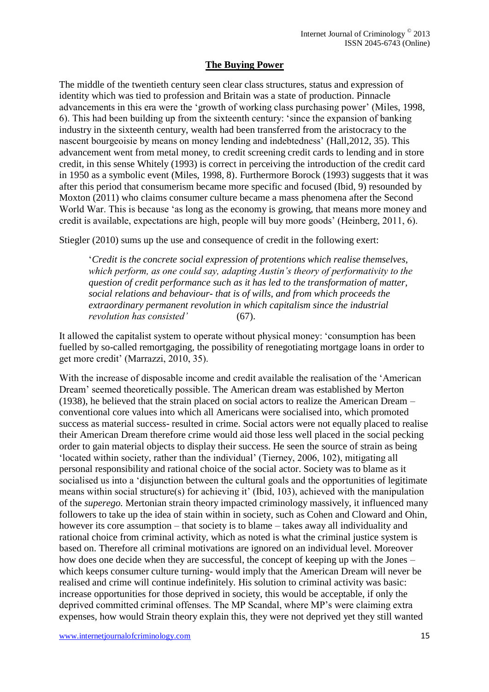## **The Buying Power**

The middle of the twentieth century seen clear class structures, status and expression of identity which was tied to profession and Britain was a state of production. Pinnacle advancements in this era were the 'growth of working class purchasing power' (Miles, 1998, 6). This had been building up from the sixteenth century: 'since the expansion of banking industry in the sixteenth century, wealth had been transferred from the aristocracy to the nascent bourgeoisie by means on money lending and indebtedness' (Hall,2012, 35). This advancement went from metal money, to credit screening credit cards to lending and in store credit, in this sense Whitely (1993) is correct in perceiving the introduction of the credit card in 1950 as a symbolic event (Miles, 1998, 8). Furthermore Borock (1993) suggests that it was after this period that consumerism became more specific and focused (Ibid, 9) resounded by Moxton (2011) who claims consumer culture became a mass phenomena after the Second World War. This is because 'as long as the economy is growing, that means more money and credit is available, expectations are high, people will buy more goods' (Heinberg, 2011, 6).

Stiegler (2010) sums up the use and consequence of credit in the following exert:

'*Credit is the concrete social expression of protentions which realise themselves, which perform, as one could say, adapting Austin's theory of performativity to the question of credit performance such as it has led to the transformation of matter, social relations and behaviour- that is of wills, and from which proceeds the extraordinary permanent revolution in which capitalism since the industrial revolution has consisted'* (67).

It allowed the capitalist system to operate without physical money: 'consumption has been fuelled by so-called remortgaging, the possibility of renegotiating mortgage loans in order to get more credit' (Marrazzi, 2010, 35).

With the increase of disposable income and credit available the realisation of the 'American Dream' seemed theoretically possible. The American dream was established by Merton (1938), he believed that the strain placed on social actors to realize the American Dream – conventional core values into which all Americans were socialised into, which promoted success as material success- resulted in crime. Social actors were not equally placed to realise their American Dream therefore crime would aid those less well placed in the social pecking order to gain material objects to display their success. He seen the source of strain as being 'located within society, rather than the individual' (Tierney, 2006, 102), mitigating all personal responsibility and rational choice of the social actor. Society was to blame as it socialised us into a 'disjunction between the cultural goals and the opportunities of legitimate means within social structure(s) for achieving it' (Ibid, 103), achieved with the manipulation of the *superego.* Mertonian strain theory impacted criminology massively, it influenced many followers to take up the idea of stain within in society, such as Cohen and Cloward and Ohin, however its core assumption – that society is to blame – takes away all individuality and rational choice from criminal activity, which as noted is what the criminal justice system is based on. Therefore all criminal motivations are ignored on an individual level. Moreover how does one decide when they are successful, the concept of keeping up with the Jones – which keeps consumer culture turning- would imply that the American Dream will never be realised and crime will continue indefinitely. His solution to criminal activity was basic: increase opportunities for those deprived in society, this would be acceptable, if only the deprived committed criminal offenses. The MP Scandal, where MP's were claiming extra expenses, how would Strain theory explain this, they were not deprived yet they still wanted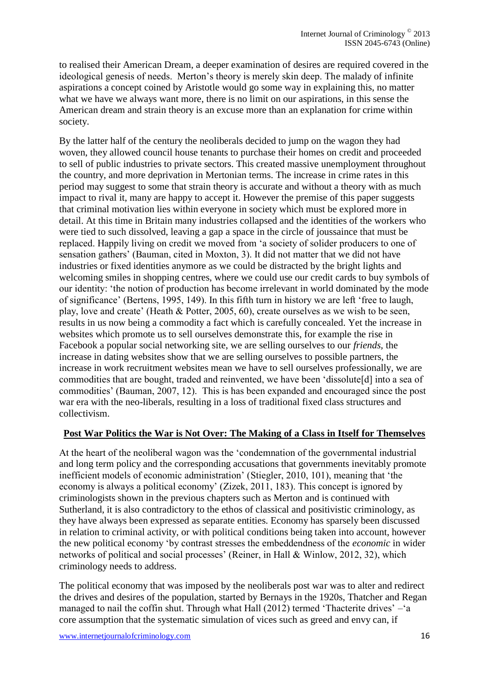to realised their American Dream, a deeper examination of desires are required covered in the ideological genesis of needs. Merton's theory is merely skin deep. The malady of infinite aspirations a concept coined by Aristotle would go some way in explaining this, no matter what we have we always want more, there is no limit on our aspirations, in this sense the American dream and strain theory is an excuse more than an explanation for crime within society.

By the latter half of the century the neoliberals decided to jump on the wagon they had woven, they allowed council house tenants to purchase their homes on credit and proceeded to sell of public industries to private sectors. This created massive unemployment throughout the country, and more deprivation in Mertonian terms. The increase in crime rates in this period may suggest to some that strain theory is accurate and without a theory with as much impact to rival it, many are happy to accept it. However the premise of this paper suggests that criminal motivation lies within everyone in society which must be explored more in detail. At this time in Britain many industries collapsed and the identities of the workers who were tied to such dissolved, leaving a gap a space in the circle of joussaince that must be replaced. Happily living on credit we moved from 'a society of solider producers to one of sensation gathers' (Bauman, cited in Moxton, 3). It did not matter that we did not have industries or fixed identities anymore as we could be distracted by the bright lights and welcoming smiles in shopping centres, where we could use our credit cards to buy symbols of our identity: 'the notion of production has become irrelevant in world dominated by the mode of significance' (Bertens, 1995, 149). In this fifth turn in history we are left 'free to laugh, play, love and create' (Heath & Potter, 2005, 60), create ourselves as we wish to be seen, results in us now being a commodity a fact which is carefully concealed. Yet the increase in websites which promote us to sell ourselves demonstrate this, for example the rise in Facebook a popular social networking site, we are selling ourselves to our *friends,* the increase in dating websites show that we are selling ourselves to possible partners, the increase in work recruitment websites mean we have to sell ourselves professionally, we are commodities that are bought, traded and reinvented, we have been 'dissolute[d] into a sea of commodities' (Bauman, 2007, 12). This is has been expanded and encouraged since the post war era with the neo-liberals, resulting in a loss of traditional fixed class structures and collectivism.

#### **Post War Politics the War is Not Over: The Making of a Class in Itself for Themselves**

At the heart of the neoliberal wagon was the 'condemnation of the governmental industrial and long term policy and the corresponding accusations that governments inevitably promote inefficient models of economic administration' (Stiegler, 2010, 101), meaning that 'the economy is always a political economy' (Zizek, 2011, 183). This concept is ignored by criminologists shown in the previous chapters such as Merton and is continued with Sutherland, it is also contradictory to the ethos of classical and positivistic criminology, as they have always been expressed as separate entities. Economy has sparsely been discussed in relation to criminal activity, or with political conditions being taken into account, however the new political economy 'by contrast stresses the embeddendness of the *economic* in wider networks of political and social processes' (Reiner, in Hall & Winlow, 2012, 32), which criminology needs to address.

The political economy that was imposed by the neoliberals post war was to alter and redirect the drives and desires of the population, started by Bernays in the 1920s, Thatcher and Regan managed to nail the coffin shut. Through what Hall (2012) termed 'Thacterite drives' –'a core assumption that the systematic simulation of vices such as greed and envy can, if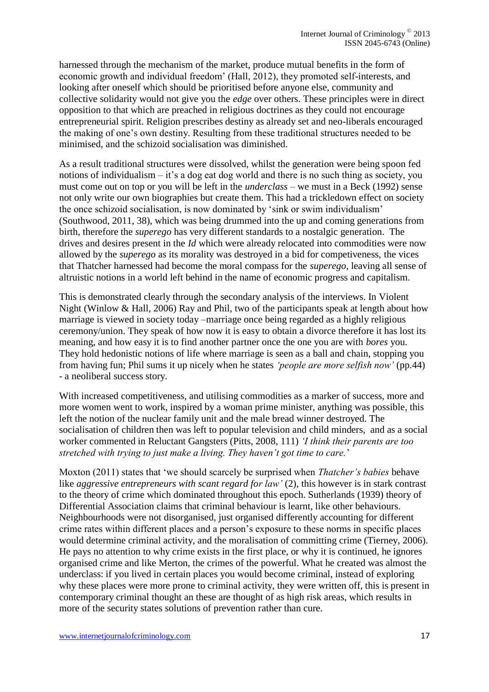harnessed through the mechanism of the market, produce mutual benefits in the form of economic growth and individual freedom' (Hall, 2012), they promoted self-interests, and looking after oneself which should be prioritised before anyone else, community and collective solidarity would not give you the *edge* over others. These principles were in direct opposition to that which are preached in religious doctrines as they could not encourage entrepreneurial spirit. Religion prescribes destiny as already set and neo-liberals encouraged the making of one's own destiny. Resulting from these traditional structures needed to be minimised, and the schizoid socialisation was diminished.

As a result traditional structures were dissolved, whilst the generation were being spoon fed notions of individualism – it's a dog eat dog world and there is no such thing as society, you must come out on top or you will be left in the *underclass* – we must in a Beck (1992) sense not only write our own biographies but create them. This had a trickledown effect on society the once schizoid socialisation, is now dominated by 'sink or swim individualism' (Southwood, 2011, 38), which was being drummed into the up and coming generations from birth, therefore the *superego* has very different standards to a nostalgic generation. The drives and desires present in the *Id* which were already relocated into commodities were now allowed by the *superego* as its morality was destroyed in a bid for competiveness, the vices that Thatcher harnessed had become the moral compass for the *superego,* leaving all sense of altruistic notions in a world left behind in the name of economic progress and capitalism.

This is demonstrated clearly through the secondary analysis of the interviews. In Violent Night (Winlow & Hall, 2006) Ray and Phil, two of the participants speak at length about how marriage is viewed in society today –marriage once being regarded as a highly religious ceremony/union. They speak of how now it is easy to obtain a divorce therefore it has lost its meaning, and how easy it is to find another partner once the one you are with *bores* you. They hold hedonistic notions of life where marriage is seen as a ball and chain, stopping you from having fun; Phil sums it up nicely when he states *'people are more selfish now'* (pp.44) - a neoliberal success story.

With increased competitiveness, and utilising commodities as a marker of success, more and more women went to work, inspired by a woman prime minister, anything was possible, this left the notion of the nuclear family unit and the male bread winner destroyed. The socialisation of children then was left to popular television and child minders, and as a social worker commented in Reluctant Gangsters (Pitts, 2008, 111) *'I think their parents are too stretched with trying to just make a living. They haven't got time to care.*'

Moxton (2011) states that 'we should scarcely be surprised when *Thatcher's babies* behave like *aggressive entrepreneurs with scant regard for law'* (2), this however is in stark contrast to the theory of crime which dominated throughout this epoch. Sutherlands (1939) theory of Differential Association claims that criminal behaviour is learnt, like other behaviours. Neighbourhoods were not disorganised, just organised differently accounting for different crime rates within different places and a person's exposure to these norms in specific places would determine criminal activity, and the moralisation of committing crime (Tierney, 2006). He pays no attention to why crime exists in the first place, or why it is continued, he ignores organised crime and like Merton, the crimes of the powerful. What he created was almost the underclass: if you lived in certain places you would become criminal, instead of exploring why these places were more prone to criminal activity, they were written off, this is present in contemporary criminal thought an these are thought of as high risk areas, which results in more of the security states solutions of prevention rather than cure.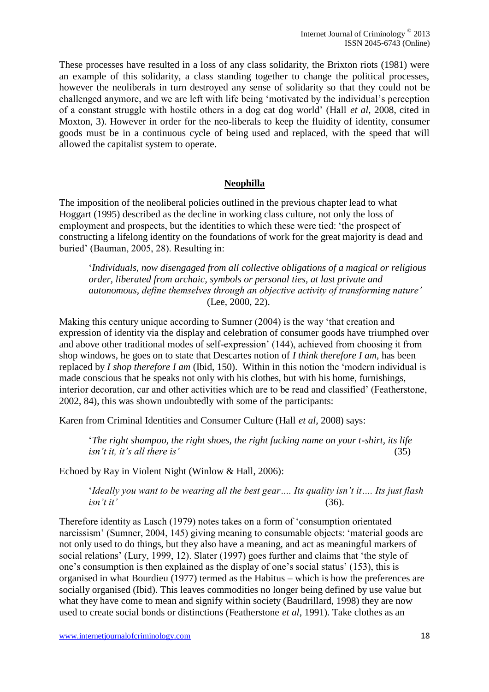These processes have resulted in a loss of any class solidarity, the Brixton riots (1981) were an example of this solidarity, a class standing together to change the political processes, however the neoliberals in turn destroyed any sense of solidarity so that they could not be challenged anymore, and we are left with life being 'motivated by the individual's perception of a constant struggle with hostile others in a dog eat dog world' (Hall *et al,* 2008, cited in Moxton, 3). However in order for the neo-liberals to keep the fluidity of identity, consumer goods must be in a continuous cycle of being used and replaced, with the speed that will allowed the capitalist system to operate.

## **Neophilla**

The imposition of the neoliberal policies outlined in the previous chapter lead to what Hoggart (1995) described as the decline in working class culture, not only the loss of employment and prospects, but the identities to which these were tied: 'the prospect of constructing a lifelong identity on the foundations of work for the great majority is dead and buried' (Bauman, 2005, 28). Resulting in:

'*Individuals, now disengaged from all collective obligations of a magical or religious order, liberated from archaic, symbols or personal ties, at last private and autonomous, define themselves through an objective activity of transforming nature'*  (Lee, 2000, 22).

Making this century unique according to Sumner (2004) is the way 'that creation and expression of identity via the display and celebration of consumer goods have triumphed over and above other traditional modes of self-expression' (144), achieved from choosing it from shop windows, he goes on to state that Descartes notion of *I think therefore I am,* has been replaced by *I shop therefore I am* (Ibid, 150). Within in this notion the 'modern individual is made conscious that he speaks not only with his clothes, but with his home, furnishings, interior decoration, car and other activities which are to be read and classified' (Featherstone, 2002, 84), this was shown undoubtedly with some of the participants:

Karen from Criminal Identities and Consumer Culture (Hall *et al,* 2008) says:

'*The right shampoo, the right shoes, the right fucking name on your t-shirt, its life isn't it, it's all there is'* (35)

Echoed by Ray in Violent Night (Winlow & Hall, 2006):

'*Ideally you want to be wearing all the best gear…. Its quality isn't it…. Its just flash isn't it'* (36).

Therefore identity as Lasch (1979) notes takes on a form of 'consumption orientated narcissism' (Sumner, 2004, 145) giving meaning to consumable objects: 'material goods are not only used to do things, but they also have a meaning, and act as meaningful markers of social relations' (Lury, 1999, 12). Slater (1997) goes further and claims that 'the style of one's consumption is then explained as the display of one's social status' (153), this is organised in what Bourdieu (1977) termed as the Habitus – which is how the preferences are socially organised (Ibid). This leaves commodities no longer being defined by use value but what they have come to mean and signify within society (Baudrillard, 1998) they are now used to create social bonds or distinctions (Featherstone *et al*, 1991). Take clothes as an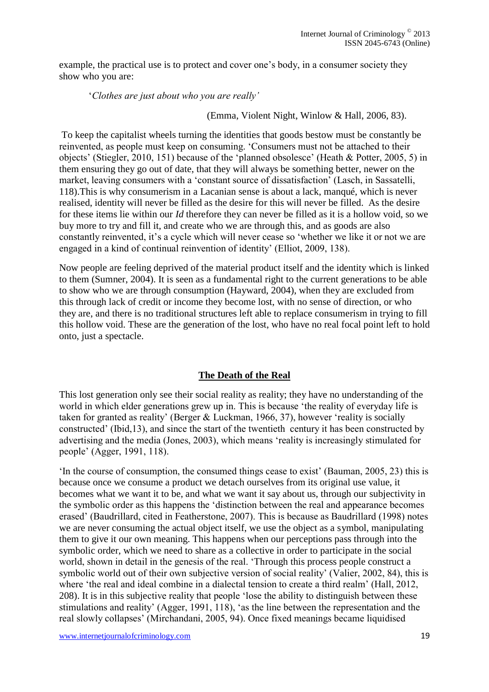example, the practical use is to protect and cover one's body, in a consumer society they show who you are:

'*Clothes are just about who you are really'* 

(Emma, Violent Night, Winlow & Hall, 2006, 83).

To keep the capitalist wheels turning the identities that goods bestow must be constantly be reinvented, as people must keep on consuming. 'Consumers must not be attached to their objects' (Stiegler, 2010, 151) because of the 'planned obsolesce' (Heath & Potter, 2005, 5) in them ensuring they go out of date, that they will always be something better, newer on the market, leaving consumers with a 'constant source of dissatisfaction' (Lasch, in Sassatelli, 118).This is why consumerism in a Lacanian sense is about a lack, manqué, which is never realised, identity will never be filled as the desire for this will never be filled. As the desire for these items lie within our *Id* therefore they can never be filled as it is a hollow void, so we buy more to try and fill it, and create who we are through this, and as goods are also constantly reinvented, it's a cycle which will never cease so 'whether we like it or not we are engaged in a kind of continual reinvention of identity' (Elliot, 2009, 138).

Now people are feeling deprived of the material product itself and the identity which is linked to them (Sumner, 2004). It is seen as a fundamental right to the current generations to be able to show who we are through consumption (Hayward, 2004), when they are excluded from this through lack of credit or income they become lost, with no sense of direction, or who they are, and there is no traditional structures left able to replace consumerism in trying to fill this hollow void. These are the generation of the lost, who have no real focal point left to hold onto, just a spectacle.

# **The Death of the Real**

This lost generation only see their social reality as reality; they have no understanding of the world in which elder generations grew up in. This is because 'the reality of everyday life is taken for granted as reality' (Berger & Luckman, 1966, 37), however 'reality is socially constructed' (Ibid,13), and since the start of the twentieth century it has been constructed by advertising and the media (Jones, 2003), which means 'reality is increasingly stimulated for people' (Agger, 1991, 118).

'In the course of consumption, the consumed things cease to exist' (Bauman, 2005, 23) this is because once we consume a product we detach ourselves from its original use value, it becomes what we want it to be, and what we want it say about us, through our subjectivity in the symbolic order as this happens the 'distinction between the real and appearance becomes erased' (Baudrillard, cited in Featherstone, 2007). This is because as Baudrillard (1998) notes we are never consuming the actual object itself, we use the object as a symbol, manipulating them to give it our own meaning. This happens when our perceptions pass through into the symbolic order, which we need to share as a collective in order to participate in the social world, shown in detail in the genesis of the real. 'Through this process people construct a symbolic world out of their own subjective version of social reality' (Valier, 2002, 84), this is where 'the real and ideal combine in a dialectal tension to create a third realm' (Hall, 2012, 208). It is in this subjective reality that people 'lose the ability to distinguish between these stimulations and reality' (Agger, 1991, 118), 'as the line between the representation and the real slowly collapses' (Mirchandani, 2005, 94). Once fixed meanings became liquidised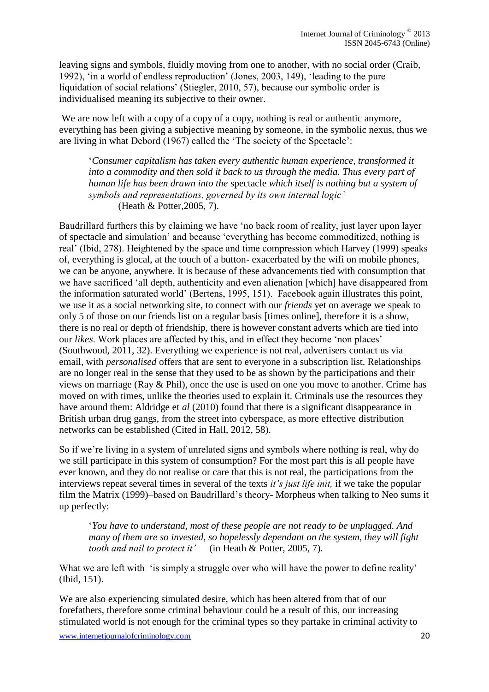leaving signs and symbols, fluidly moving from one to another, with no social order (Craib, 1992), 'in a world of endless reproduction' (Jones, 2003, 149), 'leading to the pure liquidation of social relations' (Stiegler, 2010, 57), because our symbolic order is individualised meaning its subjective to their owner.

We are now left with a copy of a copy of a copy, nothing is real or authentic anymore, everything has been giving a subjective meaning by someone, in the symbolic nexus, thus we are living in what Debord (1967) called the 'The society of the Spectacle':

'*Consumer capitalism has taken every authentic human experience, transformed it into a commodity and then sold it back to us through the media. Thus every part of human life has been drawn into the* spectacle *which itself is nothing but a system of symbols and representations, governed by its own internal logic'*  (Heath & Potter,2005, 7).

Baudrillard furthers this by claiming we have 'no back room of reality, just layer upon layer of spectacle and simulation' and because 'everything has become commoditized, nothing is real' (Ibid, 278). Heightened by the space and time compression which Harvey (1999) speaks of, everything is glocal, at the touch of a button- exacerbated by the wifi on mobile phones, we can be anyone, anywhere. It is because of these advancements tied with consumption that we have sacrificed 'all depth, authenticity and even alienation [which] have disappeared from the information saturated world' (Bertens, 1995, 151). Facebook again illustrates this point, we use it as a social networking site, to connect with our *friends* yet on average we speak to only 5 of those on our friends list on a regular basis [times online], therefore it is a show, there is no real or depth of friendship, there is however constant adverts which are tied into our *likes*. Work places are affected by this, and in effect they become 'non places' (Southwood, 2011, 32). Everything we experience is not real, advertisers contact us via email, with *personalised* offers that are sent to everyone in a subscription list. Relationships are no longer real in the sense that they used to be as shown by the participations and their views on marriage (Ray & Phil), once the use is used on one you move to another. Crime has moved on with times, unlike the theories used to explain it. Criminals use the resources they have around them: Aldridge et *al* (2010) found that there is a significant disappearance in British urban drug gangs, from the street into cyberspace, as more effective distribution networks can be established (Cited in Hall, 2012, 58).

So if we're living in a system of unrelated signs and symbols where nothing is real, why do we still participate in this system of consumption? For the most part this is all people have ever known, and they do not realise or care that this is not real, the participations from the interviews repeat several times in several of the texts *it's just life init,* if we take the popular film the Matrix (1999)–based on Baudrillard's theory- Morpheus when talking to Neo sums it up perfectly:

'*You have to understand, most of these people are not ready to be unplugged. And many of them are so invested, so hopelessly dependant on the system, they will fight tooth and nail to protect it'* (in Heath & Potter, 2005, 7).

What we are left with 'is simply a struggle over who will have the power to define reality' (Ibid, 151).

We are also experiencing simulated desire, which has been altered from that of our forefathers, therefore some criminal behaviour could be a result of this, our increasing stimulated world is not enough for the criminal types so they partake in criminal activity to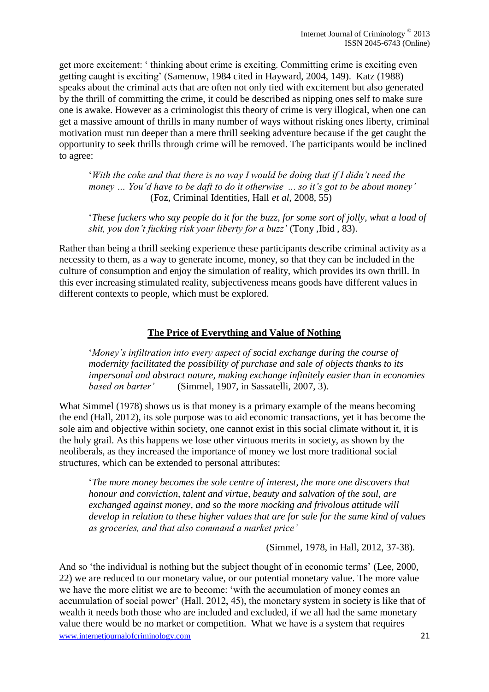get more excitement: ' thinking about crime is exciting. Committing crime is exciting even getting caught is exciting' (Samenow, 1984 cited in Hayward, 2004, 149). Katz (1988) speaks about the criminal acts that are often not only tied with excitement but also generated by the thrill of committing the crime, it could be described as nipping ones self to make sure one is awake. However as a criminologist this theory of crime is very illogical, when one can get a massive amount of thrills in many number of ways without risking ones liberty, criminal motivation must run deeper than a mere thrill seeking adventure because if the get caught the opportunity to seek thrills through crime will be removed. The participants would be inclined to agree:

'*With the coke and that there is no way I would be doing that if I didn't need the money … You'd have to be daft to do it otherwise ... so it's got to be about money'* (Foz, Criminal Identities, Hall *et al,* 2008, 55)

'*These fuckers who say people do it for the buzz, for some sort of jolly, what a load of shit, you don't fucking risk your liberty for a buzz'* (Tony ,Ibid , 83).

Rather than being a thrill seeking experience these participants describe criminal activity as a necessity to them, as a way to generate income, money, so that they can be included in the culture of consumption and enjoy the simulation of reality, which provides its own thrill. In this ever increasing stimulated reality, subjectiveness means goods have different values in different contexts to people, which must be explored.

## **The Price of Everything and Value of Nothing**

'*Money's infiltration into every aspect of social exchange during the course of modernity facilitated the possibility of purchase and sale of objects thanks to its impersonal and abstract nature, making exchange infinitely easier than in economies based on barter'* (Simmel, 1907, in Sassatelli, 2007, 3).

What Simmel (1978) shows us is that money is a primary example of the means becoming the end (Hall, 2012), its sole purpose was to aid economic transactions, yet it has become the sole aim and objective within society, one cannot exist in this social climate without it, it is the holy grail. As this happens we lose other virtuous merits in society, as shown by the neoliberals, as they increased the importance of money we lost more traditional social structures, which can be extended to personal attributes:

'*The more money becomes the sole centre of interest, the more one discovers that honour and conviction, talent and virtue, beauty and salvation of the soul, are exchanged against money, and so the more mocking and frivolous attitude will develop in relation to these higher values that are for sale for the same kind of values as groceries, and that also command a market price'*

(Simmel, 1978, in Hall, 2012, 37-38).

www.internetjournalofcriminology.com 21 And so 'the individual is nothing but the subject thought of in economic terms' (Lee, 2000, 22) we are reduced to our monetary value, or our potential monetary value. The more value we have the more elitist we are to become: 'with the accumulation of money comes an accumulation of social power' (Hall, 2012, 45), the monetary system in society is like that of wealth it needs both those who are included and excluded, if we all had the same monetary value there would be no market or competition. What we have is a system that requires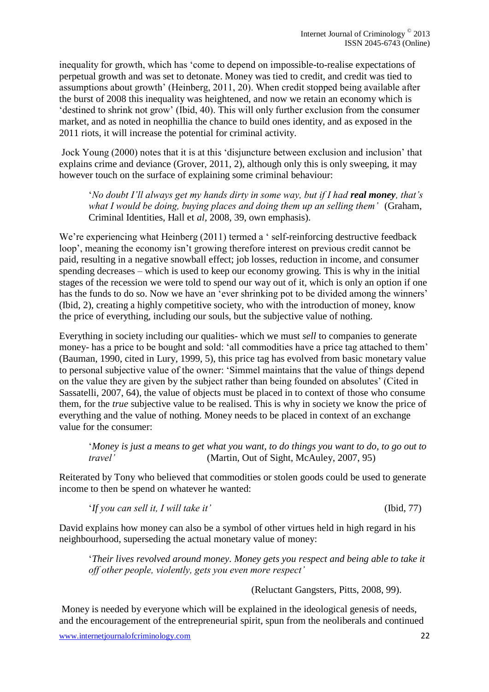inequality for growth, which has 'come to depend on impossible-to-realise expectations of perpetual growth and was set to detonate. Money was tied to credit, and credit was tied to assumptions about growth' (Heinberg, 2011, 20). When credit stopped being available after the burst of 2008 this inequality was heightened, and now we retain an economy which is 'destined to shrink not grow' (Ibid, 40). This will only further exclusion from the consumer market, and as noted in neophillia the chance to build ones identity, and as exposed in the 2011 riots, it will increase the potential for criminal activity.

Jock Young (2000) notes that it is at this 'disjuncture between exclusion and inclusion' that explains crime and deviance (Grover, 2011, 2), although only this is only sweeping, it may however touch on the surface of explaining some criminal behaviour:

*'No doubt I'll always get my hands dirty in some way, but if I had <i>real money, that's what I would be doing, buying places and doing them up an selling them'* (Graham, Criminal Identities, Hall et *al,* 2008, 39, own emphasis).

We're experiencing what Heinberg (2011) termed a ' self-reinforcing destructive feedback loop', meaning the economy isn't growing therefore interest on previous credit cannot be paid, resulting in a negative snowball effect; job losses, reduction in income, and consumer spending decreases – which is used to keep our economy growing. This is why in the initial stages of the recession we were told to spend our way out of it, which is only an option if one has the funds to do so. Now we have an 'ever shrinking pot to be divided among the winners' (Ibid, 2), creating a highly competitive society, who with the introduction of money, know the price of everything, including our souls, but the subjective value of nothing.

Everything in society including our qualities- which we must *sell* to companies to generate money- has a price to be bought and sold: 'all commodities have a price tag attached to them' (Bauman, 1990, cited in Lury, 1999, 5), this price tag has evolved from basic monetary value to personal subjective value of the owner: 'Simmel maintains that the value of things depend on the value they are given by the subject rather than being founded on absolutes' (Cited in Sassatelli, 2007, 64), the value of objects must be placed in to context of those who consume them, for the *true* subjective value to be realised. This is why in society we know the price of everything and the value of nothing. Money needs to be placed in context of an exchange value for the consumer:

'*Money is just a means to get what you want, to do things you want to do, to go out to travel'* (Martin, Out of Sight, McAuley, 2007, 95)

Reiterated by Tony who believed that commodities or stolen goods could be used to generate income to then be spend on whatever he wanted:

'*If you can sell it, I will take it'* (Ibid, 77)

David explains how money can also be a symbol of other virtues held in high regard in his neighbourhood, superseding the actual monetary value of money:

'*Their lives revolved around money. Money gets you respect and being able to take it off other people, violently, gets you even more respect'* 

(Reluctant Gangsters, Pitts, 2008, 99).

Money is needed by everyone which will be explained in the ideological genesis of needs, and the encouragement of the entrepreneurial spirit, spun from the neoliberals and continued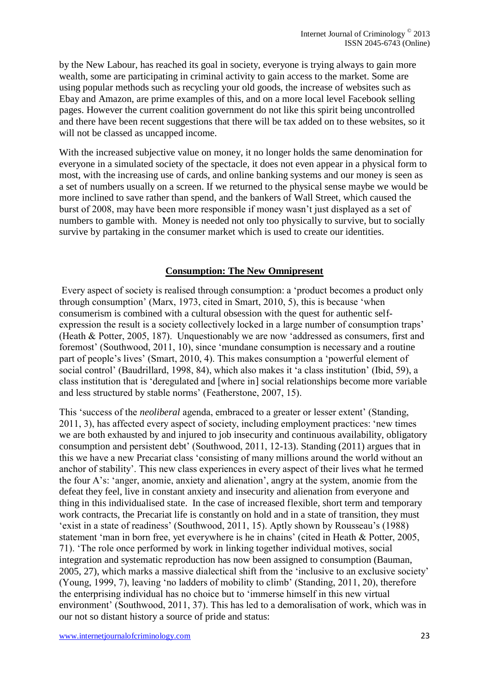by the New Labour, has reached its goal in society, everyone is trying always to gain more wealth, some are participating in criminal activity to gain access to the market. Some are using popular methods such as recycling your old goods, the increase of websites such as Ebay and Amazon, are prime examples of this, and on a more local level Facebook selling pages. However the current coalition government do not like this spirit being uncontrolled and there have been recent suggestions that there will be tax added on to these websites, so it will not be classed as uncapped income.

With the increased subjective value on money, it no longer holds the same denomination for everyone in a simulated society of the spectacle, it does not even appear in a physical form to most, with the increasing use of cards, and online banking systems and our money is seen as a set of numbers usually on a screen. If we returned to the physical sense maybe we would be more inclined to save rather than spend, and the bankers of Wall Street, which caused the burst of 2008, may have been more responsible if money wasn't just displayed as a set of numbers to gamble with. Money is needed not only too physically to survive, but to socially survive by partaking in the consumer market which is used to create our identities.

## **Consumption: The New Omnipresent**

Every aspect of society is realised through consumption: a 'product becomes a product only through consumption' (Marx, 1973, cited in Smart, 2010, 5), this is because 'when consumerism is combined with a cultural obsession with the quest for authentic selfexpression the result is a society collectively locked in a large number of consumption traps' (Heath & Potter, 2005, 187). Unquestionably we are now 'addressed as consumers, first and foremost' (Southwood, 2011, 10), since 'mundane consumption is necessary and a routine part of people's lives' (Smart, 2010, 4). This makes consumption a 'powerful element of social control' (Baudrillard, 1998, 84), which also makes it 'a class institution' (Ibid, 59), a class institution that is 'deregulated and [where in] social relationships become more variable and less structured by stable norms' (Featherstone, 2007, 15).

This 'success of the *neoliberal* agenda, embraced to a greater or lesser extent' (Standing, 2011, 3), has affected every aspect of society, including employment practices: 'new times we are both exhausted by and injured to job insecurity and continuous availability, obligatory consumption and persistent debt' (Southwood, 2011, 12-13). Standing (2011) argues that in this we have a new Precariat class 'consisting of many millions around the world without an anchor of stability'. This new class experiences in every aspect of their lives what he termed the four A's: 'anger, anomie, anxiety and alienation', angry at the system, anomie from the defeat they feel, live in constant anxiety and insecurity and alienation from everyone and thing in this individualised state. In the case of increased flexible, short term and temporary work contracts, the Precariat life is constantly on hold and in a state of transition, they must 'exist in a state of readiness' (Southwood, 2011, 15). Aptly shown by Rousseau's (1988) statement 'man in born free, yet everywhere is he in chains' (cited in Heath & Potter, 2005, 71). 'The role once performed by work in linking together individual motives, social integration and systematic reproduction has now been assigned to consumption (Bauman, 2005, 27), which marks a massive dialectical shift from the 'inclusive to an exclusive society' (Young, 1999, 7), leaving 'no ladders of mobility to climb' (Standing, 2011, 20), therefore the enterprising individual has no choice but to 'immerse himself in this new virtual environment' (Southwood, 2011, 37). This has led to a demoralisation of work, which was in our not so distant history a source of pride and status: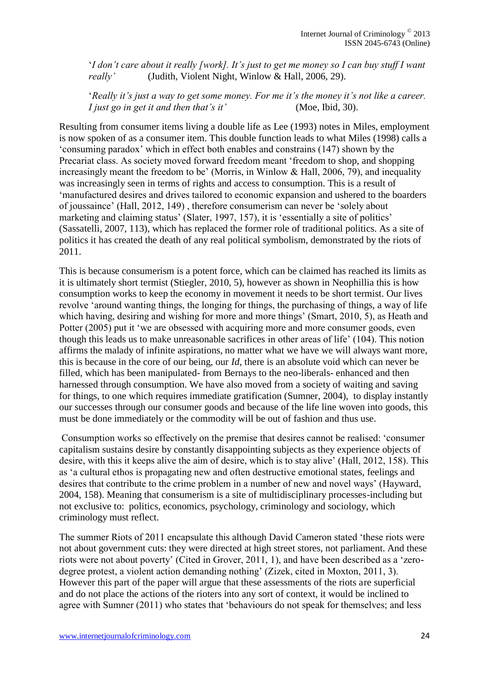'*I don't care about it really [work]. It's just to get me money so I can buy stuff I want really'* (Judith, Violent Night, Winlow & Hall, 2006, 29).

'*Really it's just a way to get some money. For me it's the money it's not like a career. I just go in get it and then that's it'* (Moe, Ibid, 30).

Resulting from consumer items living a double life as Lee (1993) notes in Miles, employment is now spoken of as a consumer item. This double function leads to what Miles (1998) calls a 'consuming paradox' which in effect both enables and constrains (147) shown by the Precariat class. As society moved forward freedom meant 'freedom to shop, and shopping increasingly meant the freedom to be' (Morris, in Winlow  $\&$  Hall, 2006, 79), and inequality was increasingly seen in terms of rights and access to consumption. This is a result of 'manufactured desires and drives tailored to economic expansion and ushered to the boarders of joussaince' (Hall, 2012, 149) , therefore consumerism can never be 'solely about marketing and claiming status' (Slater, 1997, 157), it is 'essentially a site of politics' (Sassatelli, 2007, 113), which has replaced the former role of traditional politics. As a site of politics it has created the death of any real political symbolism, demonstrated by the riots of 2011.

This is because consumerism is a potent force, which can be claimed has reached its limits as it is ultimately short termist (Stiegler, 2010, 5), however as shown in Neophillia this is how consumption works to keep the economy in movement it needs to be short termist. Our lives revolve 'around wanting things, the longing for things, the purchasing of things, a way of life which having, desiring and wishing for more and more things' (Smart, 2010, 5), as Heath and Potter (2005) put it 'we are obsessed with acquiring more and more consumer goods, even though this leads us to make unreasonable sacrifices in other areas of life' (104). This notion affirms the malady of infinite aspirations, no matter what we have we will always want more, this is because in the core of our being, our *Id,* there is an absolute void which can never be filled, which has been manipulated- from Bernays to the neo-liberals- enhanced and then harnessed through consumption. We have also moved from a society of waiting and saving for things, to one which requires immediate gratification (Sumner, 2004), to display instantly our successes through our consumer goods and because of the life line woven into goods, this must be done immediately or the commodity will be out of fashion and thus use.

Consumption works so effectively on the premise that desires cannot be realised: 'consumer capitalism sustains desire by constantly disappointing subjects as they experience objects of desire, with this it keeps alive the aim of desire, which is to stay alive' (Hall, 2012, 158). This as 'a cultural ethos is propagating new and often destructive emotional states, feelings and desires that contribute to the crime problem in a number of new and novel ways' (Hayward, 2004, 158). Meaning that consumerism is a site of multidisciplinary processes-including but not exclusive to: politics, economics, psychology, criminology and sociology, which criminology must reflect.

The summer Riots of 2011 encapsulate this although David Cameron stated 'these riots were not about government cuts: they were directed at high street stores, not parliament. And these riots were not about poverty' (Cited in Grover, 2011, 1), and have been described as a 'zerodegree protest, a violent action demanding nothing' (Zizek, cited in Moxton, 2011, 3). However this part of the paper will argue that these assessments of the riots are superficial and do not place the actions of the rioters into any sort of context, it would be inclined to agree with Sumner (2011) who states that 'behaviours do not speak for themselves; and less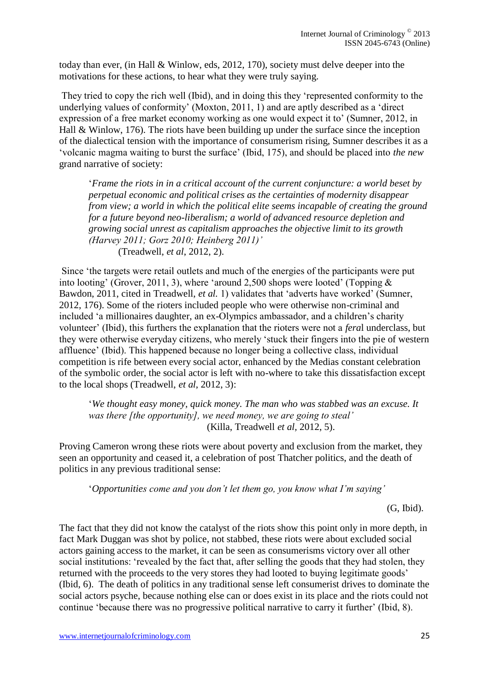today than ever, (in Hall & Winlow, eds, 2012, 170), society must delve deeper into the motivations for these actions, to hear what they were truly saying.

They tried to copy the rich well (Ibid), and in doing this they 'represented conformity to the underlying values of conformity' (Moxton, 2011, 1) and are aptly described as a 'direct expression of a free market economy working as one would expect it to' (Sumner, 2012, in Hall & Winlow, 176). The riots have been building up under the surface since the inception of the dialectical tension with the importance of consumerism rising, Sumner describes it as a 'volcanic magma waiting to burst the surface' (Ibid, 175), and should be placed into *the new* grand narrative of society:

'*Frame the riots in in a critical account of the current conjuncture: a world beset by perpetual economic and political crises as the certainties of modernity disappear from view; a world in which the political elite seems incapable of creating the ground for a future beyond neo-liberalism; a world of advanced resource depletion and growing social unrest as capitalism approaches the objective limit to its growth (Harvey 2011; Gorz 2010; Heinberg 2011)'*  (Treadwell, *et al*, 2012, 2).

Since 'the targets were retail outlets and much of the energies of the participants were put into looting' (Grover, 2011, 3), where 'around 2,500 shops were looted' (Topping & Bawdon, 2011, cited in Treadwell, *et al.* 1) validates that 'adverts have worked' (Sumner, 2012, 176). Some of the rioters included people who were otherwise non-criminal and included 'a millionaires daughter, an ex-Olympics ambassador, and a children's charity volunteer' (Ibid), this furthers the explanation that the rioters were not a *fera*l underclass, but they were otherwise everyday citizens, who merely 'stuck their fingers into the pie of western affluence' (Ibid). This happened because no longer being a collective class, individual competition is rife between every social actor, enhanced by the Medias constant celebration of the symbolic order, the social actor is left with no-where to take this dissatisfaction except

'*We thought easy money, quick money. The man who was stabbed was an excuse. It was there [the opportunity], we need money, we are going to steal'*  (Killa, Treadwell *et al,* 2012, 5).

Proving Cameron wrong these riots were about poverty and exclusion from the market, they seen an opportunity and ceased it, a celebration of post Thatcher politics, and the death of politics in any previous traditional sense:

'*Opportunities come and you don't let them go, you know what I'm saying'*

(G, Ibid).

The fact that they did not know the catalyst of the riots show this point only in more depth, in fact Mark Duggan was shot by police, not stabbed, these riots were about excluded social actors gaining access to the market, it can be seen as consumerisms victory over all other social institutions: 'revealed by the fact that, after selling the goods that they had stolen, they returned with the proceeds to the very stores they had looted to buying legitimate goods' (Ibid, 6). The death of politics in any traditional sense left consumerist drives to dominate the social actors psyche, because nothing else can or does exist in its place and the riots could not continue 'because there was no progressive political narrative to carry it further' (Ibid, 8).

to the local shops (Treadwell, *et al*, 2012, 3):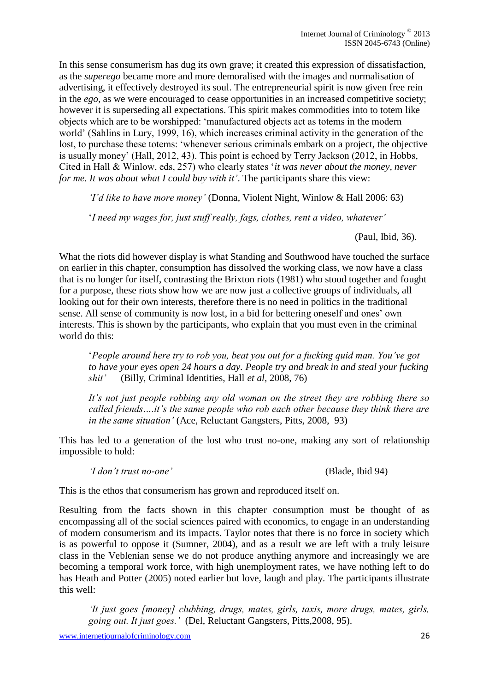In this sense consumerism has dug its own grave; it created this expression of dissatisfaction, as the *superego* became more and more demoralised with the images and normalisation of advertising, it effectively destroyed its soul. The entrepreneurial spirit is now given free rein in the *ego*, as we were encouraged to cease opportunities in an increased competitive society; however it is superseding all expectations. This spirit makes commodities into to totem like objects which are to be worshipped: 'manufactured objects act as totems in the modern world' (Sahlins in Lury, 1999, 16), which increases criminal activity in the generation of the lost, to purchase these totems: 'whenever serious criminals embark on a project, the objective is usually money' (Hall, 2012, 43). This point is echoed by Terry Jackson (2012, in Hobbs, Cited in Hall & Winlow, eds, 257) who clearly states '*it was never about the money, never for me. It was about what I could buy with it'*. The participants share this view:

*'I'd like to have more money'* (Donna, Violent Night, Winlow & Hall 2006: 63)

'*I need my wages for, just stuff really, fags, clothes, rent a video, whatever'* 

(Paul, Ibid, 36).

What the riots did however display is what Standing and Southwood have touched the surface on earlier in this chapter, consumption has dissolved the working class, we now have a class that is no longer for itself, contrasting the Brixton riots (1981) who stood together and fought for a purpose, these riots show how we are now just a collective groups of individuals, all looking out for their own interests, therefore there is no need in politics in the traditional sense. All sense of community is now lost, in a bid for bettering oneself and ones' own interests. This is shown by the participants, who explain that you must even in the criminal world do this:

'*People around here try to rob you, beat you out for a fucking quid man. You've got to have your eyes open 24 hours a day. People try and break in and steal your fucking shit'* (Billy, Criminal Identities, Hall *et al,* 2008, 76)

*It's not just people robbing any old woman on the street they are robbing there so called friends….it's the same people who rob each other because they think there are in the same situation'* (Ace, Reluctant Gangsters, Pitts, 2008, 93)

This has led to a generation of the lost who trust no-one, making any sort of relationship impossible to hold:

*'I don't trust no-one'* (Blade, Ibid 94)

This is the ethos that consumerism has grown and reproduced itself on.

Resulting from the facts shown in this chapter consumption must be thought of as encompassing all of the social sciences paired with economics, to engage in an understanding of modern consumerism and its impacts. Taylor notes that there is no force in society which is as powerful to oppose it (Sumner, 2004), and as a result we are left with a truly leisure class in the Veblenian sense we do not produce anything anymore and increasingly we are becoming a temporal work force, with high unemployment rates, we have nothing left to do has Heath and Potter (2005) noted earlier but love, laugh and play. The participants illustrate this well:

*'It just goes [money] clubbing, drugs, mates, girls, taxis, more drugs, mates, girls, going out. It just goes.'* (Del, Reluctant Gangsters, Pitts,2008, 95).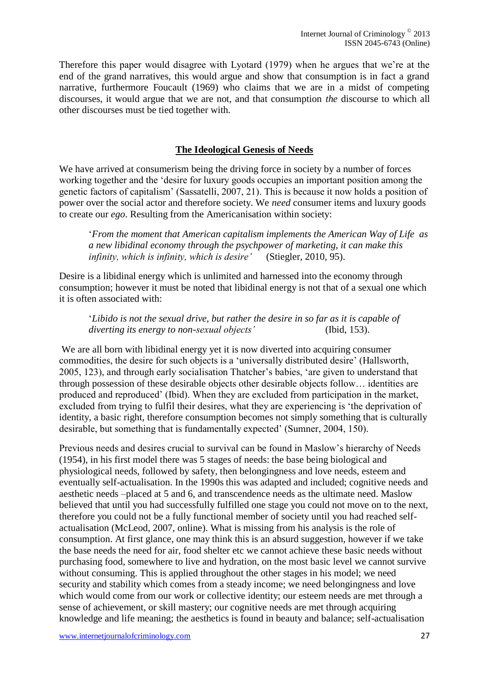Therefore this paper would disagree with Lyotard (1979) when he argues that we're at the end of the grand narratives, this would argue and show that consumption is in fact a grand narrative, furthermore Foucault (1969) who claims that we are in a midst of competing discourses, it would argue that we are not, and that consumption *the* discourse to which all other discourses must be tied together with.

## **The Ideological Genesis of Needs**

We have arrived at consumerism being the driving force in society by a number of forces working together and the 'desire for luxury goods occupies an important position among the genetic factors of capitalism' (Sassatelli, 2007, 21). This is because it now holds a position of power over the social actor and therefore society. We *need* consumer items and luxury goods to create our *ego*. Resulting from the Americanisation within society:

'*From the moment that American capitalism implements the American Way of Life as a new libidinal economy through the psychpower of marketing, it can make this infinity, which is infinity, which is desire'* (Stiegler, 2010, 95).

Desire is a libidinal energy which is unlimited and harnessed into the economy through consumption; however it must be noted that libidinal energy is not that of a sexual one which it is often associated with:

'*Libido is not the sexual drive, but rather the desire in so far as it is capable of diverting its energy to non-sexual objects'* (Ibid, 153).

We are all born with libidinal energy yet it is now diverted into acquiring consumer commodities, the desire for such objects is a 'universally distributed desire' (Hallsworth, 2005, 123), and through early socialisation Thatcher's babies, 'are given to understand that through possession of these desirable objects other desirable objects follow… identities are produced and reproduced' (Ibid). When they are excluded from participation in the market, excluded from trying to fulfil their desires, what they are experiencing is 'the deprivation of identity, a basic right, therefore consumption becomes not simply something that is culturally desirable, but something that is fundamentally expected' (Sumner, 2004, 150).

Previous needs and desires crucial to survival can be found in Maslow's hierarchy of Needs (1954), in his first model there was 5 stages of needs: the base being biological and physiological needs, followed by safety, then belongingness and love needs, esteem and eventually self-actualisation. In the 1990s this was adapted and included; cognitive needs and aesthetic needs –placed at 5 and 6, and transcendence needs as the ultimate need. Maslow believed that until you had successfully fulfilled one stage you could not move on to the next, therefore you could not be a fully functional member of society until you had reached selfactualisation (McLeod, 2007, online). What is missing from his analysis is the role of consumption. At first glance, one may think this is an absurd suggestion, however if we take the base needs the need for air, food shelter etc we cannot achieve these basic needs without purchasing food, somewhere to live and hydration, on the most basic level we cannot survive without consuming. This is applied throughout the other stages in his model; we need security and stability which comes from a steady income; we need belongingness and love which would come from our work or collective identity; our esteem needs are met through a sense of achievement, or skill mastery; our cognitive needs are met through acquiring knowledge and life meaning; the aesthetics is found in beauty and balance; self-actualisation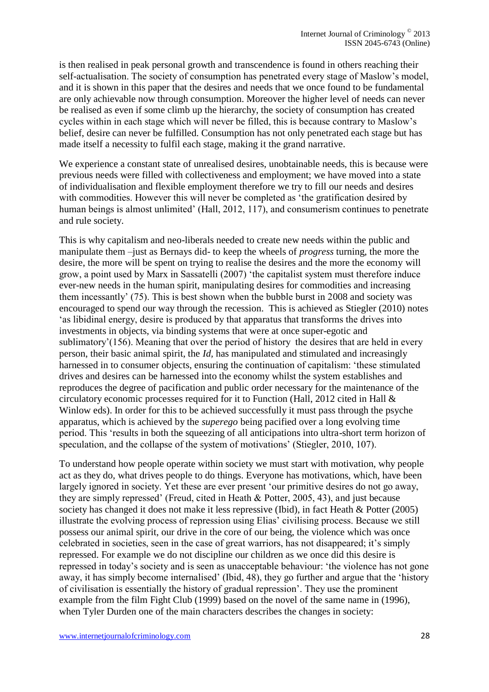is then realised in peak personal growth and transcendence is found in others reaching their self-actualisation. The society of consumption has penetrated every stage of Maslow's model, and it is shown in this paper that the desires and needs that we once found to be fundamental are only achievable now through consumption. Moreover the higher level of needs can never be realised as even if some climb up the hierarchy, the society of consumption has created cycles within in each stage which will never be filled, this is because contrary to Maslow's belief, desire can never be fulfilled. Consumption has not only penetrated each stage but has made itself a necessity to fulfil each stage, making it the grand narrative.

We experience a constant state of unrealised desires, unobtainable needs, this is because were previous needs were filled with collectiveness and employment; we have moved into a state of individualisation and flexible employment therefore we try to fill our needs and desires with commodities. However this will never be completed as 'the gratification desired by human beings is almost unlimited' (Hall, 2012, 117), and consumerism continues to penetrate and rule society.

This is why capitalism and neo-liberals needed to create new needs within the public and manipulate them –just as Bernays did- to keep the wheels of *progress* turning, the more the desire, the more will be spent on trying to realise the desires and the more the economy will grow, a point used by Marx in Sassatelli (2007) 'the capitalist system must therefore induce ever-new needs in the human spirit, manipulating desires for commodities and increasing them incessantly' (75). This is best shown when the bubble burst in 2008 and society was encouraged to spend our way through the recession. This is achieved as Stiegler (2010) notes 'as libidinal energy, desire is produced by that apparatus that transforms the drives into investments in objects, via binding systems that were at once super-egotic and sublimatory'(156). Meaning that over the period of history the desires that are held in every person, their basic animal spirit, the *Id,* has manipulated and stimulated and increasingly harnessed in to consumer objects, ensuring the continuation of capitalism: 'these stimulated drives and desires can be harnessed into the economy whilst the system establishes and reproduces the degree of pacification and public order necessary for the maintenance of the circulatory economic processes required for it to Function (Hall, 2012 cited in Hall & Winlow eds). In order for this to be achieved successfully it must pass through the psyche apparatus, which is achieved by the *superego* being pacified over a long evolving time period. This 'results in both the squeezing of all anticipations into ultra-short term horizon of speculation, and the collapse of the system of motivations' (Stiegler, 2010, 107).

To understand how people operate within society we must start with motivation, why people act as they do, what drives people to do things. Everyone has motivations, which, have been largely ignored in society. Yet these are ever present 'our primitive desires do not go away, they are simply repressed' (Freud, cited in Heath & Potter, 2005, 43), and just because society has changed it does not make it less repressive (Ibid), in fact Heath & Potter (2005) illustrate the evolving process of repression using Elias' civilising process. Because we still possess our animal spirit, our drive in the core of our being, the violence which was once celebrated in societies, seen in the case of great warriors, has not disappeared; it's simply repressed. For example we do not discipline our children as we once did this desire is repressed in today's society and is seen as unacceptable behaviour: 'the violence has not gone away, it has simply become internalised' (Ibid, 48), they go further and argue that the 'history of civilisation is essentially the history of gradual repression'. They use the prominent example from the film Fight Club (1999) based on the novel of the same name in (1996), when Tyler Durden one of the main characters describes the changes in society: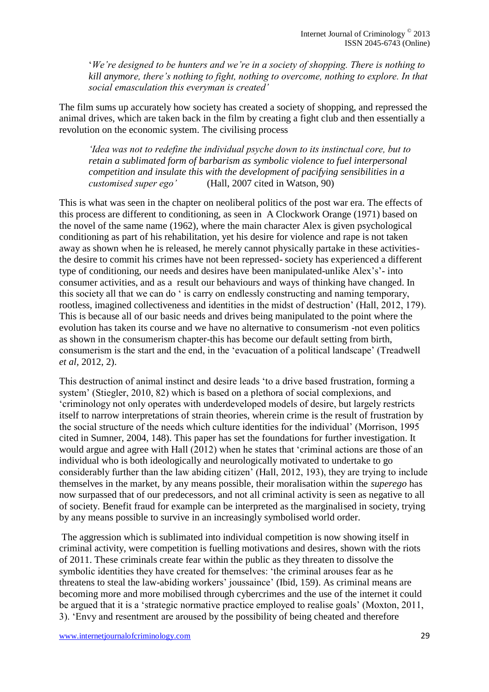'*We're designed to be hunters and we're in a society of shopping. There is nothing to kill anymore, there's nothing to fight, nothing to overcome, nothing to explore. In that social emasculation this everyman is created'* 

The film sums up accurately how society has created a society of shopping, and repressed the animal drives, which are taken back in the film by creating a fight club and then essentially a revolution on the economic system. The civilising process

*'Idea was not to redefine the individual psyche down to its instinctual core, but to retain a sublimated form of barbarism as symbolic violence to fuel interpersonal competition and insulate this with the development of pacifying sensibilities in a customised super ego'* (Hall, 2007 cited in Watson, 90)

This is what was seen in the chapter on neoliberal politics of the post war era. The effects of this process are different to conditioning, as seen in A Clockwork Orange (1971) based on the novel of the same name (1962), where the main character Alex is given psychological conditioning as part of his rehabilitation, yet his desire for violence and rape is not taken away as shown when he is released, he merely cannot physically partake in these activitiesthe desire to commit his crimes have not been repressed- society has experienced a different type of conditioning, our needs and desires have been manipulated-unlike Alex's'- into consumer activities, and as a result our behaviours and ways of thinking have changed. In this society all that we can do ' is carry on endlessly constructing and naming temporary, rootless, imagined collectiveness and identities in the midst of destruction' (Hall, 2012, 179). This is because all of our basic needs and drives being manipulated to the point where the evolution has taken its course and we have no alternative to consumerism -not even politics as shown in the consumerism chapter-this has become our default setting from birth, consumerism is the start and the end, in the 'evacuation of a political landscape' (Treadwell *et al,* 2012, 2).

This destruction of animal instinct and desire leads 'to a drive based frustration, forming a system' (Stiegler, 2010, 82) which is based on a plethora of social complexions, and 'criminology not only operates with underdeveloped models of desire, but largely restricts itself to narrow interpretations of strain theories, wherein crime is the result of frustration by the social structure of the needs which culture identities for the individual' (Morrison, 1995 cited in Sumner, 2004, 148). This paper has set the foundations for further investigation. It would argue and agree with Hall (2012) when he states that 'criminal actions are those of an individual who is both ideologically and neurologically motivated to undertake to go considerably further than the law abiding citizen' (Hall, 2012, 193), they are trying to include themselves in the market, by any means possible, their moralisation within the *superego* has now surpassed that of our predecessors, and not all criminal activity is seen as negative to all of society. Benefit fraud for example can be interpreted as the marginalised in society, trying by any means possible to survive in an increasingly symbolised world order.

The aggression which is sublimated into individual competition is now showing itself in criminal activity, were competition is fuelling motivations and desires, shown with the riots of 2011. These criminals create fear within the public as they threaten to dissolve the symbolic identities they have created for themselves: 'the criminal arouses fear as he threatens to steal the law-abiding workers' joussaince' (Ibid, 159). As criminal means are becoming more and more mobilised through cybercrimes and the use of the internet it could be argued that it is a 'strategic normative practice employed to realise goals' (Moxton, 2011, 3). 'Envy and resentment are aroused by the possibility of being cheated and therefore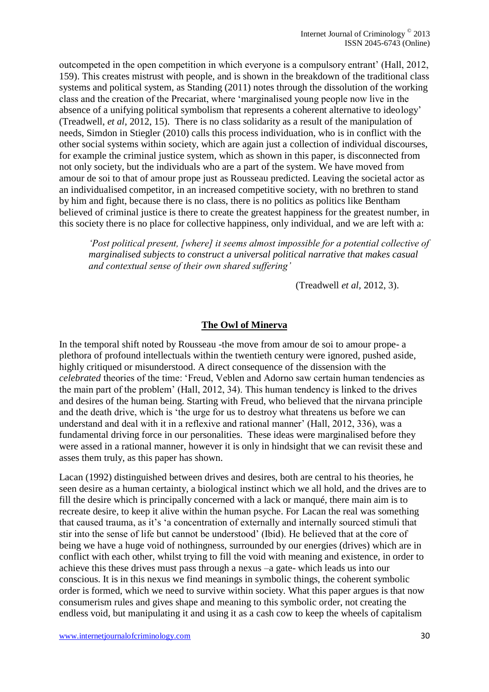outcompeted in the open competition in which everyone is a compulsory entrant' (Hall, 2012, 159). This creates mistrust with people, and is shown in the breakdown of the traditional class systems and political system, as Standing (2011) notes through the dissolution of the working class and the creation of the Precariat, where 'marginalised young people now live in the absence of a unifying political symbolism that represents a coherent alternative to ideology' (Treadwell, *et al*, 2012, 15). There is no class solidarity as a result of the manipulation of needs, Simdon in Stiegler (2010) calls this process individuation, who is in conflict with the other social systems within society, which are again just a collection of individual discourses, for example the criminal justice system, which as shown in this paper, is disconnected from not only society, but the individuals who are a part of the system. We have moved from amour de soi to that of amour prope just as Rousseau predicted. Leaving the societal actor as an individualised competitor, in an increased competitive society, with no brethren to stand by him and fight, because there is no class, there is no politics as politics like Bentham believed of criminal justice is there to create the greatest happiness for the greatest number, in this society there is no place for collective happiness, only individual, and we are left with a:

*'Post political present, [where] it seems almost impossible for a potential collective of marginalised subjects to construct a universal political narrative that makes casual and contextual sense of their own shared suffering'* 

(Treadwell *et al,* 2012, 3).

#### **The Owl of Minerva**

In the temporal shift noted by Rousseau -the move from amour de soi to amour prope- a plethora of profound intellectuals within the twentieth century were ignored, pushed aside, highly critiqued or misunderstood. A direct consequence of the dissension with the *celebrated* theories of the time: 'Freud, Veblen and Adorno saw certain human tendencies as the main part of the problem' (Hall, 2012, 34). This human tendency is linked to the drives and desires of the human being. Starting with Freud, who believed that the nirvana principle and the death drive, which is 'the urge for us to destroy what threatens us before we can understand and deal with it in a reflexive and rational manner' (Hall, 2012, 336), was a fundamental driving force in our personalities. These ideas were marginalised before they were assed in a rational manner, however it is only in hindsight that we can revisit these and asses them truly, as this paper has shown.

Lacan (1992) distinguished between drives and desires, both are central to his theories, he seen desire as a human certainty, a biological instinct which we all hold, and the drives are to fill the desire which is principally concerned with a lack or manqué, there main aim is to recreate desire, to keep it alive within the human psyche. For Lacan the real was something that caused trauma, as it's 'a concentration of externally and internally sourced stimuli that stir into the sense of life but cannot be understood' (Ibid). He believed that at the core of being we have a huge void of nothingness, surrounded by our energies (drives) which are in conflict with each other, whilst trying to fill the void with meaning and existence, in order to achieve this these drives must pass through a nexus –a gate- which leads us into our conscious. It is in this nexus we find meanings in symbolic things, the coherent symbolic order is formed, which we need to survive within society. What this paper argues is that now consumerism rules and gives shape and meaning to this symbolic order, not creating the endless void, but manipulating it and using it as a cash cow to keep the wheels of capitalism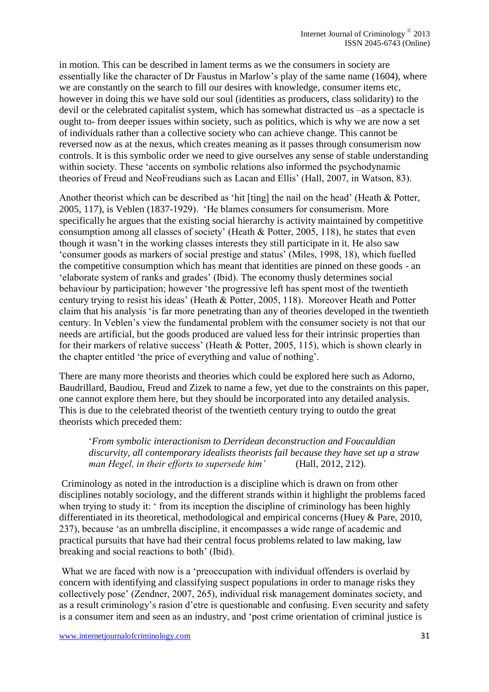in motion. This can be described in lament terms as we the consumers in society are essentially like the character of Dr Faustus in Marlow's play of the same name (1604), where we are constantly on the search to fill our desires with knowledge, consumer items etc, however in doing this we have sold our soul (identities as producers, class solidarity) to the devil or the celebrated capitalist system, which has somewhat distracted us –as a spectacle is ought to- from deeper issues within society, such as politics, which is why we are now a set of individuals rather than a collective society who can achieve change. This cannot be reversed now as at the nexus, which creates meaning as it passes through consumerism now controls. It is this symbolic order we need to give ourselves any sense of stable understanding within society. These 'accents on symbolic relations also informed the psychodynamic theories of Freud and NeoFreudians such as Lacan and Ellis' (Hall, 2007, in Watson, 83).

Another theorist which can be described as 'hit [ting] the nail on the head' (Heath & Potter, 2005, 117), is Veblen (1837-1929). 'He blames consumers for consumerism. More specifically he argues that the existing social hierarchy is activity maintained by competitive consumption among all classes of society' (Heath & Potter, 2005, 118), he states that even though it wasn't in the working classes interests they still participate in it. He also saw 'consumer goods as markers of social prestige and status' (Miles, 1998, 18), which fuelled the competitive consumption which has meant that identities are pinned on these goods - an 'elaborate system of ranks and grades' (Ibid). The economy thusly determines social behaviour by participation; however 'the progressive left has spent most of the twentieth century trying to resist his ideas' (Heath & Potter, 2005, 118). Moreover Heath and Potter claim that his analysis 'is far more penetrating than any of theories developed in the twentieth century. In Veblen's view the fundamental problem with the consumer society is not that our needs are artificial, but the goods produced are valued less for their intrinsic properties than for their markers of relative success' (Heath & Potter, 2005, 115), which is shown clearly in the chapter entitled 'the price of everything and value of nothing'.

There are many more theorists and theories which could be explored here such as Adorno, Baudrillard, Baudiou, Freud and Zizek to name a few, yet due to the constraints on this paper, one cannot explore them here, but they should be incorporated into any detailed analysis. This is due to the celebrated theorist of the twentieth century trying to outdo the great theorists which preceded them:

'*From symbolic interactionism to Derridean deconstruction and Foucauldian discurvity, all contemporary idealists theorists fail because they have set up a straw man Hegel, in their efforts to supersede him'* (Hall, 2012, 212).

Criminology as noted in the introduction is a discipline which is drawn on from other disciplines notably sociology, and the different strands within it highlight the problems faced when trying to study it: ' from its inception the discipline of criminology has been highly differentiated in its theoretical, methodological and empirical concerns (Huey & Pare, 2010, 237), because 'as an umbrella discipline, it encompasses a wide range of academic and practical pursuits that have had their central focus problems related to law making, law breaking and social reactions to both' (Ibid).

What we are faced with now is a 'preoccupation with individual offenders is overlaid by concern with identifying and classifying suspect populations in order to manage risks they collectively pose' (Zendner, 2007, 265), individual risk management dominates society, and as a result criminology's rasion d'etre is questionable and confusing. Even security and safety is a consumer item and seen as an industry, and 'post crime orientation of criminal justice is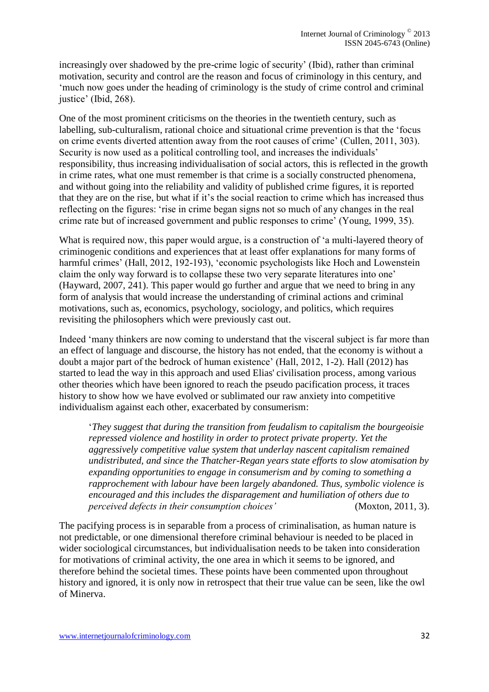increasingly over shadowed by the pre-crime logic of security' (Ibid), rather than criminal motivation, security and control are the reason and focus of criminology in this century, and 'much now goes under the heading of criminology is the study of crime control and criminal justice' (Ibid, 268).

One of the most prominent criticisms on the theories in the twentieth century, such as labelling, sub-culturalism, rational choice and situational crime prevention is that the 'focus on crime events diverted attention away from the root causes of crime' (Cullen, 2011, 303). Security is now used as a political controlling tool, and increases the individuals' responsibility, thus increasing individualisation of social actors, this is reflected in the growth in crime rates, what one must remember is that crime is a socially constructed phenomena, and without going into the reliability and validity of published crime figures, it is reported that they are on the rise, but what if it's the social reaction to crime which has increased thus reflecting on the figures: 'rise in crime began signs not so much of any changes in the real crime rate but of increased government and public responses to crime' (Young, 1999, 35).

What is required now, this paper would argue, is a construction of 'a multi-layered theory of criminogenic conditions and experiences that at least offer explanations for many forms of harmful crimes' (Hall, 2012, 192-193), 'economic psychologists like Hoch and Lowenstein claim the only way forward is to collapse these two very separate literatures into one' (Hayward, 2007, 241). This paper would go further and argue that we need to bring in any form of analysis that would increase the understanding of criminal actions and criminal motivations, such as, economics, psychology, sociology, and politics, which requires revisiting the philosophers which were previously cast out.

Indeed 'many thinkers are now coming to understand that the visceral subject is far more than an effect of language and discourse, the history has not ended, that the economy is without a doubt a major part of the bedrock of human existence' (Hall, 2012, 1-2). Hall (2012) has started to lead the way in this approach and used Elias' civilisation process, among various other theories which have been ignored to reach the pseudo pacification process, it traces history to show how we have evolved or sublimated our raw anxiety into competitive individualism against each other, exacerbated by consumerism:

'*They suggest that during the transition from feudalism to capitalism the bourgeoisie repressed violence and hostility in order to protect private property. Yet the aggressively competitive value system that underlay nascent capitalism remained undistributed, and since the Thatcher-Regan years state efforts to slow atomisation by expanding opportunities to engage in consumerism and by coming to something a rapprochement with labour have been largely abandoned. Thus, symbolic violence is encouraged and this includes the disparagement and humiliation of others due to perceived defects in their consumption choices'* (Moxton, 2011, 3).

The pacifying process is in separable from a process of criminalisation, as human nature is not predictable, or one dimensional therefore criminal behaviour is needed to be placed in wider sociological circumstances, but individualisation needs to be taken into consideration for motivations of criminal activity, the one area in which it seems to be ignored, and therefore behind the societal times. These points have been commented upon throughout history and ignored, it is only now in retrospect that their true value can be seen, like the owl of Minerva.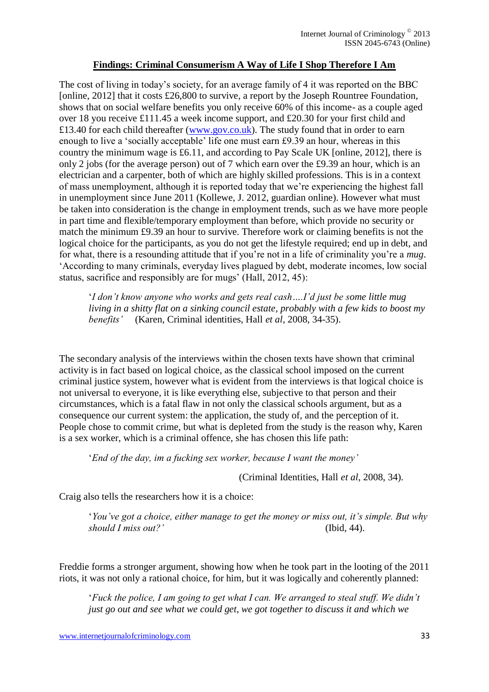## **Findings: Criminal Consumerism A Way of Life I Shop Therefore I Am**

The cost of living in today's society, for an average family of 4 it was reported on the BBC [online, 2012] that it costs £26,800 to survive, a report by the Joseph Rountree Foundation, shows that on social welfare benefits you only receive 60% of this income- as a couple aged over 18 you receive £111.45 a week income support, and £20.30 for your first child and £13.40 for each child thereafter [\(www.gov.co.uk\)](http://www.gov.co.uk/). The study found that in order to earn enough to live a 'socially acceptable' life one must earn £9.39 an hour, whereas in this country the minimum wage is £6.11, and according to Pay Scale UK [online, 2012], there is only 2 jobs (for the average person) out of 7 which earn over the £9.39 an hour, which is an electrician and a carpenter, both of which are highly skilled professions. This is in a context of mass unemployment, although it is reported today that we're experiencing the highest fall in unemployment since June 2011 (Kollewe, J. 2012, guardian online). However what must be taken into consideration is the change in employment trends, such as we have more people in part time and flexible/temporary employment than before, which provide no security or match the minimum £9.39 an hour to survive. Therefore work or claiming benefits is not the logical choice for the participants, as you do not get the lifestyle required; end up in debt, and for what, there is a resounding attitude that if you're not in a life of criminality you're a *mug*. 'According to many criminals, everyday lives plagued by debt, moderate incomes, low social status, sacrifice and responsibly are for mugs' (Hall, 2012, 45):

'*I don't know anyone who works and gets real cash….I'd just be some little mug living in a shitty flat on a sinking council estate, probably with a few kids to boost my benefits'* (Karen, Criminal identities, Hall *et al*, 2008, 34-35).

The secondary analysis of the interviews within the chosen texts have shown that criminal activity is in fact based on logical choice, as the classical school imposed on the current criminal justice system, however what is evident from the interviews is that logical choice is not universal to everyone, it is like everything else, subjective to that person and their circumstances, which is a fatal flaw in not only the classical schools argument, but as a consequence our current system: the application, the study of, and the perception of it. People chose to commit crime, but what is depleted from the study is the reason why, Karen is a sex worker, which is a criminal offence, she has chosen this life path:

'*End of the day, im a fucking sex worker, because I want the money'*

(Criminal Identities, Hall *et al*, 2008, 34).

Craig also tells the researchers how it is a choice:

'*You've got a choice, either manage to get the money or miss out, it's simple. But why should I miss out?'* (Ibid, 44).

Freddie forms a stronger argument, showing how when he took part in the looting of the 2011 riots, it was not only a rational choice, for him, but it was logically and coherently planned:

'*Fuck the police, I am going to get what I can. We arranged to steal stuff. We didn't just go out and see what we could get, we got together to discuss it and which we*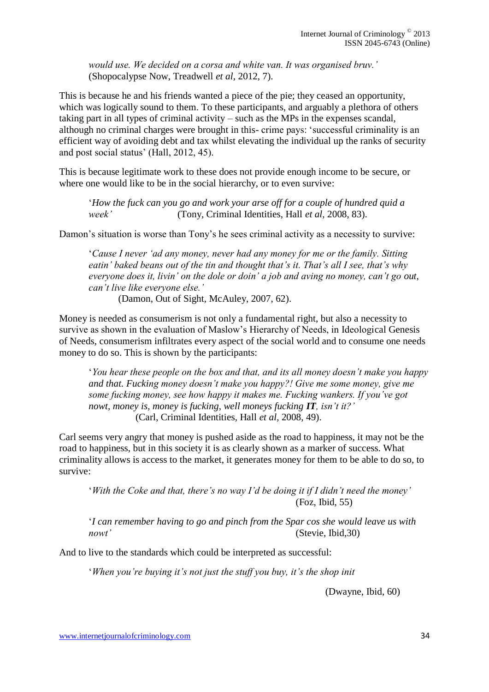*would use. We decided on a corsa and white van. It was organised bruv.'*  (Shopocalypse Now, Treadwell *et al*, 2012, 7).

This is because he and his friends wanted a piece of the pie; they ceased an opportunity, which was logically sound to them. To these participants, and arguably a plethora of others taking part in all types of criminal activity – such as the MPs in the expenses scandal, although no criminal charges were brought in this- crime pays: 'successful criminality is an efficient way of avoiding debt and tax whilst elevating the individual up the ranks of security and post social status' (Hall, 2012, 45).

This is because legitimate work to these does not provide enough income to be secure, or where one would like to be in the social hierarchy, or to even survive:

'*How the fuck can you go and work your arse off for a couple of hundred quid a week'* (Tony, Criminal Identities, Hall *et al,* 2008, 83).

Damon's situation is worse than Tony's he sees criminal activity as a necessity to survive:

'*Cause I never 'ad any money, never had any money for me or the family. Sitting eatin' baked beans out of the tin and thought that's it. That's all I see, that's why everyone does it, livin' on the dole or doin' a job and aving no money, can't go out, can't live like everyone else.'* 

(Damon, Out of Sight, McAuley, 2007, 62).

Money is needed as consumerism is not only a fundamental right, but also a necessity to survive as shown in the evaluation of Maslow's Hierarchy of Needs, in Ideological Genesis of Needs, consumerism infiltrates every aspect of the social world and to consume one needs money to do so. This is shown by the participants:

'*You hear these people on the box and that, and its all money doesn't make you happy and that. Fucking money doesn't make you happy?! Give me some money, give me some fucking money, see how happy it makes me. Fucking wankers. If you've got nowt, money is, money is fucking, well moneys fucking IT, isn't it?'* (Carl, Criminal Identities, Hall *et al,* 2008, 49).

Carl seems very angry that money is pushed aside as the road to happiness, it may not be the road to happiness, but in this society it is as clearly shown as a marker of success. What criminality allows is access to the market, it generates money for them to be able to do so, to survive:

'*With the Coke and that, there's no way I'd be doing it if I didn't need the money'*  (Foz, Ibid, 55)

'*I can remember having to go and pinch from the Spar cos she would leave us with nowt'* (Stevie, Ibid, 30)

And to live to the standards which could be interpreted as successful:

'*When you're buying it's not just the stuff you buy, it's the shop init*

(Dwayne, Ibid, 60)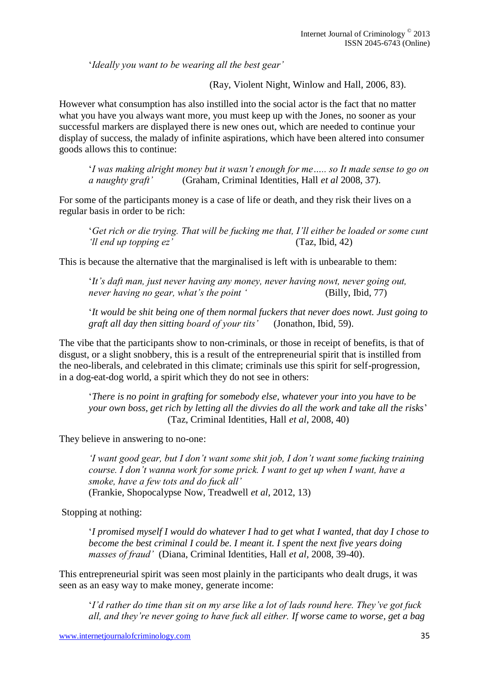'*Ideally you want to be wearing all the best gear'*

(Ray, Violent Night, Winlow and Hall*,* 2006, 83).

However what consumption has also instilled into the social actor is the fact that no matter what you have you always want more, you must keep up with the Jones, no sooner as your successful markers are displayed there is new ones out, which are needed to continue your display of success, the malady of infinite aspirations, which have been altered into consumer goods allows this to continue:

'*I was making alright money but it wasn't enough for me….. so It made sense to go on a naughty graft'* (Graham, Criminal Identities, Hall *et al* 2008, 37).

For some of the participants money is a case of life or death, and they risk their lives on a regular basis in order to be rich:

'*Get rich or die trying. That will be fucking me that, I'll either be loaded or some cunt 'll end up topping ez'* (Taz, Ibid, 42)

This is because the alternative that the marginalised is left with is unbearable to them:

'*It's daft man, just never having any money, never having nowt, never going out, never having no gear, what's the point '* (Billy, Ibid, 77)

'*It would be shit being one of them normal fuckers that never does nowt. Just going to graft all day then sitting board of your tits'* (Jonathon, Ibid, 59).

The vibe that the participants show to non-criminals, or those in receipt of benefits, is that of disgust, or a slight snobbery, this is a result of the entrepreneurial spirit that is instilled from the neo-liberals, and celebrated in this climate; criminals use this spirit for self-progression, in a dog-eat-dog world, a spirit which they do not see in others:

'*There is no point in grafting for somebody else, whatever your into you have to be your own boss, get rich by letting all the divvies do all the work and take all the risks*' (Taz, Criminal Identities, Hall *et al*, 2008, 40)

They believe in answering to no-one:

*'I want good gear, but I don't want some shit job, I don't want some fucking training course. I don't wanna work for some prick. I want to get up when I want, have a smoke, have a few tots and do fuck all'*  (Frankie, Shopocalypse Now, Treadwell *et al,* 2012, 13)

Stopping at nothing:

'*I promised myself I would do whatever I had to get what I wanted, that day I chose to become the best criminal I could be. I meant it. I spent the next five years doing masses of fraud'* (Diana, Criminal Identities, Hall *et al,* 2008, 39-40).

This entrepreneurial spirit was seen most plainly in the participants who dealt drugs, it was seen as an easy way to make money, generate income:

'*I'd rather do time than sit on my arse like a lot of lads round here. They've got fuck all, and they're never going to have fuck all either. If worse came to worse, get a bag*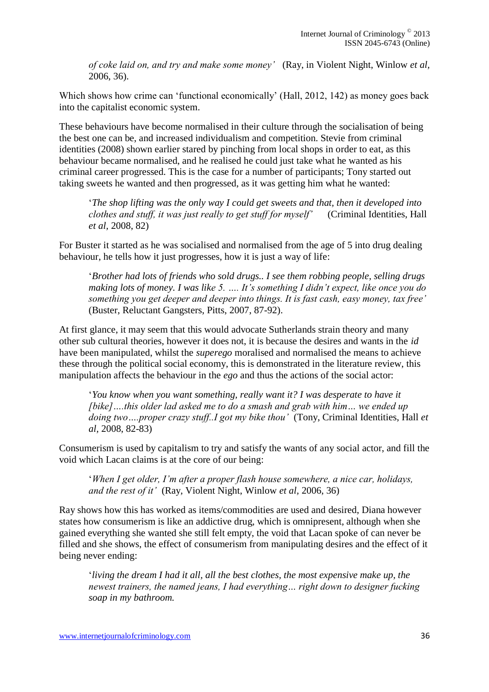*of coke laid on, and try and make some money'* (Ray, in Violent Night, Winlow *et al,*  2006, 36).

Which shows how crime can 'functional economically' (Hall, 2012, 142) as money goes back into the capitalist economic system.

These behaviours have become normalised in their culture through the socialisation of being the best one can be, and increased individualism and competition. Stevie from criminal identities (2008) shown earlier stared by pinching from local shops in order to eat, as this behaviour became normalised, and he realised he could just take what he wanted as his criminal career progressed. This is the case for a number of participants; Tony started out taking sweets he wanted and then progressed, as it was getting him what he wanted:

'*The shop lifting was the only way I could get sweets and that, then it developed into clothes and stuff, it was just really to get stuff for myself'* (Criminal Identities, Hall *et al,* 2008, 82)

For Buster it started as he was socialised and normalised from the age of 5 into drug dealing behaviour, he tells how it just progresses, how it is just a way of life:

'*Brother had lots of friends who sold drugs.. I see them robbing people, selling drugs making lots of money. I was like 5. …. It's something I didn't expect, like once you do something you get deeper and deeper into things. It is fast cash, easy money, tax free'*  (Buster, Reluctant Gangsters, Pitts, 2007, 87-92).

At first glance, it may seem that this would advocate Sutherlands strain theory and many other sub cultural theories, however it does not, it is because the desires and wants in the *id*  have been manipulated, whilst the *superego* moralised and normalised the means to achieve these through the political social economy, this is demonstrated in the literature review, this manipulation affects the behaviour in the *ego* and thus the actions of the social actor:

'*You know when you want something, really want it? I was desperate to have it [bike]….this older lad asked me to do a smash and grab with him… we ended up doing two….proper crazy stuff..I got my bike thou'* (Tony, Criminal Identities, Hall *et al,* 2008, 82-83)

Consumerism is used by capitalism to try and satisfy the wants of any social actor, and fill the void which Lacan claims is at the core of our being:

'*When I get older, I'm after a proper flash house somewhere, a nice car, holidays, and the rest of it'* (Ray, Violent Night, Winlow *et al,* 2006, 36)

Ray shows how this has worked as items/commodities are used and desired, Diana however states how consumerism is like an addictive drug, which is omnipresent, although when she gained everything she wanted she still felt empty, the void that Lacan spoke of can never be filled and she shows, the effect of consumerism from manipulating desires and the effect of it being never ending:

'*living the dream I had it all, all the best clothes, the most expensive make up, the newest trainers, the named jeans, I had everything… right down to designer fucking soap in my bathroom.*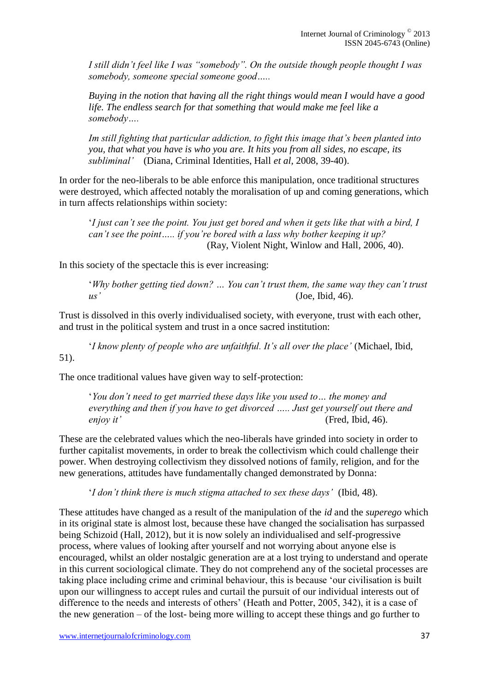*I still didn't feel like I was "somebody". On the outside though people thought I was somebody, someone special someone good…..*

*Buying in the notion that having all the right things would mean I would have a good life. The endless search for that something that would make me feel like a somebody….*

*Im still fighting that particular addiction, to fight this image that's been planted into you, that what you have is who you are. It hits you from all sides, no escape, its subliminal'* (Diana, Criminal Identities, Hall *et al,* 2008, 39-40).

In order for the neo-liberals to be able enforce this manipulation, once traditional structures were destroyed, which affected notably the moralisation of up and coming generations, which in turn affects relationships within society:

'*I just can't see the point. You just get bored and when it gets like that with a bird, I can't see the point….. if you're bored with a lass why bother keeping it up?*  (Ray, Violent Night, Winlow and Hall*,* 2006, 40).

In this society of the spectacle this is ever increasing:

'*Why bother getting tied down? … You can't trust them, the same way they can't trust us'* (Joe, Ibid, 46).

Trust is dissolved in this overly individualised society, with everyone, trust with each other, and trust in the political system and trust in a once sacred institution:

'*I know plenty of people who are unfaithful. It's all over the place'* (Michael, Ibid, 51).

The once traditional values have given way to self-protection:

'*You don't need to get married these days like you used to… the money and everything and then if you have to get divorced ….. Just get yourself out there and enjoy it'* (Fred, Ibid, 46).

These are the celebrated values which the neo-liberals have grinded into society in order to further capitalist movements, in order to break the collectivism which could challenge their power. When destroying collectivism they dissolved notions of family, religion, and for the new generations, attitudes have fundamentally changed demonstrated by Donna:

'*I don't think there is much stigma attached to sex these days'* (Ibid, 48).

These attitudes have changed as a result of the manipulation of the *id* and the *superego* which in its original state is almost lost, because these have changed the socialisation has surpassed being Schizoid (Hall, 2012), but it is now solely an individualised and self-progressive process, where values of looking after yourself and not worrying about anyone else is encouraged, whilst an older nostalgic generation are at a lost trying to understand and operate in this current sociological climate. They do not comprehend any of the societal processes are taking place including crime and criminal behaviour, this is because 'our civilisation is built upon our willingness to accept rules and curtail the pursuit of our individual interests out of difference to the needs and interests of others' (Heath and Potter, 2005, 342), it is a case of the new generation – of the lost- being more willing to accept these things and go further to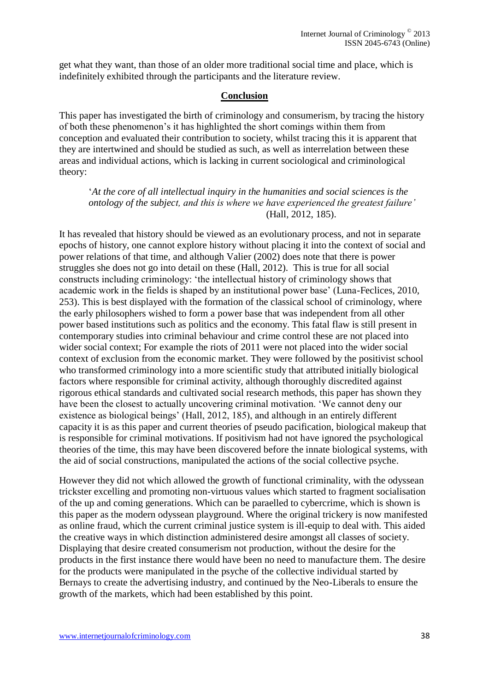get what they want, than those of an older more traditional social time and place, which is indefinitely exhibited through the participants and the literature review.

#### **Conclusion**

This paper has investigated the birth of criminology and consumerism, by tracing the history of both these phenomenon's it has highlighted the short comings within them from conception and evaluated their contribution to society, whilst tracing this it is apparent that they are intertwined and should be studied as such, as well as interrelation between these areas and individual actions, which is lacking in current sociological and criminological theory:

'*At the core of all intellectual inquiry in the humanities and social sciences is the ontology of the subject, and this is where we have experienced the greatest failure'*  (Hall, 2012, 185).

It has revealed that history should be viewed as an evolutionary process, and not in separate epochs of history, one cannot explore history without placing it into the context of social and power relations of that time, and although Valier (2002) does note that there is power struggles she does not go into detail on these (Hall, 2012). This is true for all social constructs including criminology: 'the intellectual history of criminology shows that academic work in the fields is shaped by an institutional power base' (Luna-Feclices, 2010, 253). This is best displayed with the formation of the classical school of criminology, where the early philosophers wished to form a power base that was independent from all other power based institutions such as politics and the economy. This fatal flaw is still present in contemporary studies into criminal behaviour and crime control these are not placed into wider social context; For example the riots of 2011 were not placed into the wider social context of exclusion from the economic market. They were followed by the positivist school who transformed criminology into a more scientific study that attributed initially biological factors where responsible for criminal activity, although thoroughly discredited against rigorous ethical standards and cultivated social research methods, this paper has shown they have been the closest to actually uncovering criminal motivation. 'We cannot deny our existence as biological beings' (Hall, 2012, 185), and although in an entirely different capacity it is as this paper and current theories of pseudo pacification, biological makeup that is responsible for criminal motivations. If positivism had not have ignored the psychological theories of the time, this may have been discovered before the innate biological systems, with the aid of social constructions, manipulated the actions of the social collective psyche.

However they did not which allowed the growth of functional criminality, with the odyssean trickster excelling and promoting non-virtuous values which started to fragment socialisation of the up and coming generations. Which can be paraelled to cybercrime, which is shown is this paper as the modern odyssean playground. Where the original trickery is now manifested as online fraud, which the current criminal justice system is ill-equip to deal with. This aided the creative ways in which distinction administered desire amongst all classes of society. Displaying that desire created consumerism not production, without the desire for the products in the first instance there would have been no need to manufacture them. The desire for the products were manipulated in the psyche of the collective individual started by Bernays to create the advertising industry, and continued by the Neo-Liberals to ensure the growth of the markets, which had been established by this point.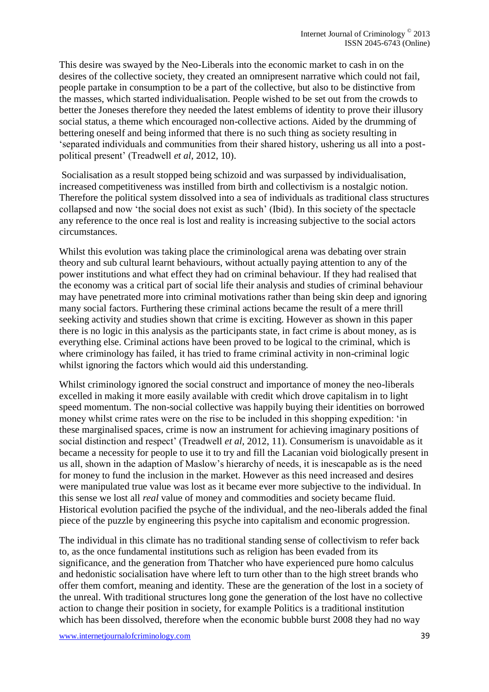This desire was swayed by the Neo-Liberals into the economic market to cash in on the desires of the collective society, they created an omnipresent narrative which could not fail, people partake in consumption to be a part of the collective, but also to be distinctive from the masses, which started individualisation. People wished to be set out from the crowds to better the Joneses therefore they needed the latest emblems of identity to prove their illusory social status, a theme which encouraged non-collective actions. Aided by the drumming of bettering oneself and being informed that there is no such thing as society resulting in 'separated individuals and communities from their shared history, ushering us all into a postpolitical present' (Treadwell *et al*, 2012, 10).

Socialisation as a result stopped being schizoid and was surpassed by individualisation, increased competitiveness was instilled from birth and collectivism is a nostalgic notion. Therefore the political system dissolved into a sea of individuals as traditional class structures collapsed and now 'the social does not exist as such' (Ibid). In this society of the spectacle any reference to the once real is lost and reality is increasing subjective to the social actors circumstances.

Whilst this evolution was taking place the criminological arena was debating over strain theory and sub cultural learnt behaviours, without actually paying attention to any of the power institutions and what effect they had on criminal behaviour. If they had realised that the economy was a critical part of social life their analysis and studies of criminal behaviour may have penetrated more into criminal motivations rather than being skin deep and ignoring many social factors. Furthering these criminal actions became the result of a mere thrill seeking activity and studies shown that crime is exciting. However as shown in this paper there is no logic in this analysis as the participants state, in fact crime is about money, as is everything else. Criminal actions have been proved to be logical to the criminal, which is where criminology has failed, it has tried to frame criminal activity in non-criminal logic whilst ignoring the factors which would aid this understanding.

Whilst criminology ignored the social construct and importance of money the neo-liberals excelled in making it more easily available with credit which drove capitalism in to light speed momentum. The non-social collective was happily buying their identities on borrowed money whilst crime rates were on the rise to be included in this shopping expedition: 'in these marginalised spaces, crime is now an instrument for achieving imaginary positions of social distinction and respect' (Treadwell *et al*, 2012, 11). Consumerism is unavoidable as it became a necessity for people to use it to try and fill the Lacanian void biologically present in us all, shown in the adaption of Maslow's hierarchy of needs, it is inescapable as is the need for money to fund the inclusion in the market. However as this need increased and desires were manipulated true value was lost as it became ever more subjective to the individual. In this sense we lost all *real* value of money and commodities and society became fluid. Historical evolution pacified the psyche of the individual, and the neo-liberals added the final piece of the puzzle by engineering this psyche into capitalism and economic progression.

The individual in this climate has no traditional standing sense of collectivism to refer back to, as the once fundamental institutions such as religion has been evaded from its significance, and the generation from Thatcher who have experienced pure homo calculus and hedonistic socialisation have where left to turn other than to the high street brands who offer them comfort, meaning and identity. These are the generation of the lost in a society of the unreal. With traditional structures long gone the generation of the lost have no collective action to change their position in society, for example Politics is a traditional institution which has been dissolved, therefore when the economic bubble burst 2008 they had no way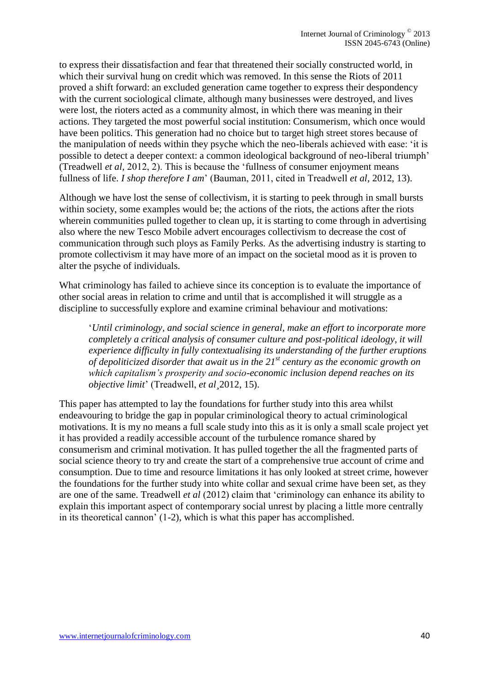to express their dissatisfaction and fear that threatened their socially constructed world, in which their survival hung on credit which was removed. In this sense the Riots of 2011 proved a shift forward: an excluded generation came together to express their despondency with the current sociological climate, although many businesses were destroyed, and lives were lost, the rioters acted as a community almost, in which there was meaning in their actions. They targeted the most powerful social institution: Consumerism, which once would have been politics. This generation had no choice but to target high street stores because of the manipulation of needs within they psyche which the neo-liberals achieved with ease: 'it is possible to detect a deeper context: a common ideological background of neo-liberal triumph' (Treadwell *et al,* 2012, 2). This is because the 'fullness of consumer enjoyment means fullness of life. *I shop therefore I am*' (Bauman, 2011, cited in Treadwell *et al*, 2012, 13).

Although we have lost the sense of collectivism, it is starting to peek through in small bursts within society, some examples would be; the actions of the riots, the actions after the riots wherein communities pulled together to clean up, it is starting to come through in advertising also where the new Tesco Mobile advert encourages collectivism to decrease the cost of communication through such ploys as Family Perks. As the advertising industry is starting to promote collectivism it may have more of an impact on the societal mood as it is proven to alter the psyche of individuals.

What criminology has failed to achieve since its conception is to evaluate the importance of other social areas in relation to crime and until that is accomplished it will struggle as a discipline to successfully explore and examine criminal behaviour and motivations:

'*Until criminology, and social science in general, make an effort to incorporate more completely a critical analysis of consumer culture and post-political ideology, it will experience difficulty in fully contextualising its understanding of the further eruptions of depoliticized disorder that await us in the 21st century as the economic growth on which capitalism's prosperity and socio-economic inclusion depend reaches on its objective limit*' (Treadwell, *et al¸*2012, 15).

This paper has attempted to lay the foundations for further study into this area whilst endeavouring to bridge the gap in popular criminological theory to actual criminological motivations. It is my no means a full scale study into this as it is only a small scale project yet it has provided a readily accessible account of the turbulence romance shared by consumerism and criminal motivation. It has pulled together the all the fragmented parts of social science theory to try and create the start of a comprehensive true account of crime and consumption. Due to time and resource limitations it has only looked at street crime, however the foundations for the further study into white collar and sexual crime have been set, as they are one of the same. Treadwell *et al* (2012) claim that 'criminology can enhance its ability to explain this important aspect of contemporary social unrest by placing a little more centrally in its theoretical cannon' (1-2), which is what this paper has accomplished.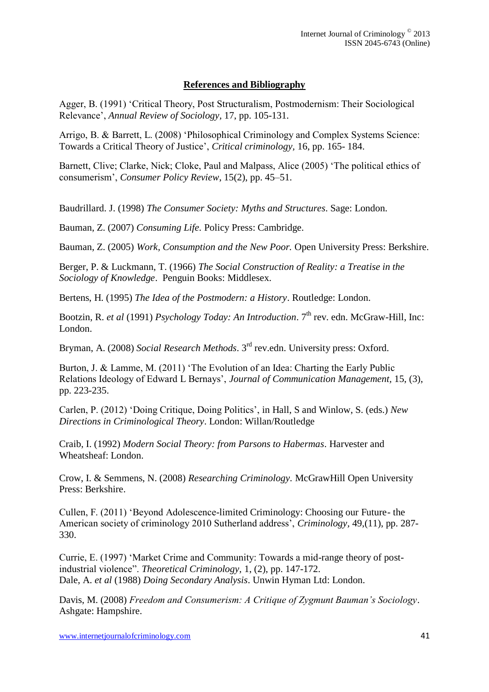# **References and Bibliography**

Agger, B. (1991) 'Critical Theory, Post Structuralism, Postmodernism: Their Sociological Relevance', *Annual Review of Sociology,* 17, pp. 105-131.

Arrigo, B. & Barrett, L. (2008) 'Philosophical Criminology and Complex Systems Science: Towards a Critical Theory of Justice', *Critical criminology,* 16, pp. 165- 184.

Barnett, Clive; Clarke, Nick; Cloke, Paul and Malpass, Alice (2005) 'The political ethics of consumerism', *Consumer Policy Review*, 15(2), pp. 45–51.

Baudrillard. J. (1998) *The Consumer Society: Myths and Structures*. Sage: London.

Bauman, Z. (2007) *Consuming Life.* Policy Press: Cambridge.

Bauman, Z. (2005) *Work, Consumption and the New Poor.* Open University Press: Berkshire.

Berger, P. & Luckmann, T. (1966) *The Social Construction of Reality: a Treatise in the Sociology of Knowledge*. Penguin Books: Middlesex.

Bertens, H. (1995) *The Idea of the Postmodern: a History*. Routledge: London.

Bootzin, R. *et al* (1991) *Psychology Today: An Introduction*. 7<sup>th</sup> rev. edn. McGraw-Hill, Inc: London.

Bryman, A. (2008) *Social Research Methods*. 3rd rev.edn. University press: Oxford.

Burton, J. & Lamme, M. (2011) 'The Evolution of an Idea: Charting the Early Public Relations Ideology of Edward L Bernays', *Journal of Communication Management,* 15, (3), pp. 223-235.

Carlen, P. (2012) 'Doing Critique, Doing Politics', in Hall, S and Winlow, S. (eds.) *New Directions in Criminological Theory*. London: Willan/Routledge

Craib, I. (1992) *Modern Social Theory: from Parsons to Habermas*. Harvester and Wheatsheaf: London.

Crow, I. & Semmens, N. (2008) *Researching Criminology.* McGrawHill Open University Press: Berkshire.

Cullen, F. (2011) 'Beyond Adolescence-limited Criminology: Choosing our Future- the American society of criminology 2010 Sutherland address', *Criminology,* 49,(11), pp. 287- 330.

Currie, E. (1997) 'Market Crime and Community: Towards a mid-range theory of postindustrial violence". *Theoretical Criminology,* 1, (2), pp. 147-172. Dale, A. *et al* (1988) *Doing Secondary Analysis*. Unwin Hyman Ltd: London.

Davis, M. (2008) *Freedom and Consumerism: A Critique of Zygmunt Bauman's Sociology*. Ashgate: Hampshire.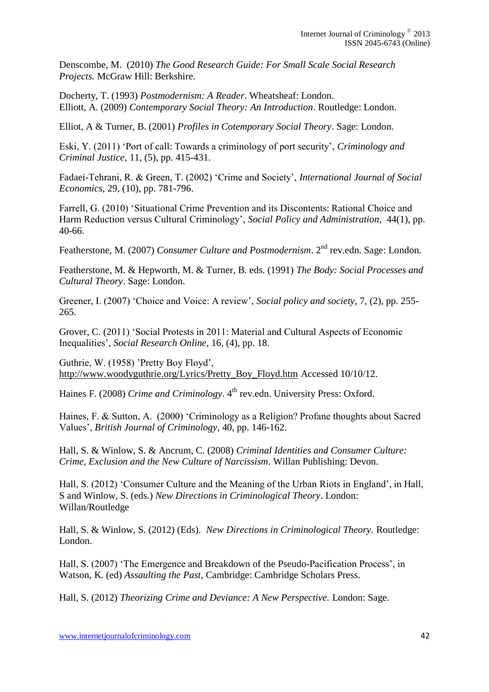Denscombe, M. (2010) *The Good Research Guide: For Small Scale Social Research Projects.* McGraw Hill: Berkshire.

Docherty, T. (1993) *Postmodernism: A Reader*. Wheatsheaf: London. Elliott, A. (2009) *Contemporary Social Theory: An Introduction*. Routledge: London.

Elliot, A & Turner, B. (2001) *Profiles in Cotemporary Social Theory*. Sage: London.

Eski, Y. (2011) 'Port of call: Towards a criminology of port security', *Criminology and Criminal Justice,* 11, (5), pp. 415-431.

Fadaei-Tehrani, R. & Green, T. (2002) 'Crime and Society', *International Journal of Social Economics,* 29, (10), pp. 781-796.

Farrell, G. (2010) 'Situational Crime Prevention and its Discontents: Rational Choice and Harm Reduction versus Cultural Criminology', *Social Policy and Administration,* 44(1), pp. 40-66.

Featherstone, M. (2007) *Consumer Culture and Postmodernism*. 2<sup>nd</sup> rev.edn. Sage: London.

Featherstone, M. & Hepworth, M. & Turner, B. eds. (1991) *The Body: Social Processes and Cultural Theory*. Sage: London.

Greener, I. (2007) 'Choice and Voice: A review', *Social policy and society,* 7, (2), pp. 255- 265.

Grover, C. (2011) 'Social Protests in 2011: Material and Cultural Aspects of Economic Inequalities', *Social Research Online,* 16, (4), pp. 18.

Guthrie, W. (1958) 'Pretty Boy Floyd', [http://www.woodyguthrie.org/Lyrics/Pretty\\_Boy\\_Floyd.htm](http://www.woodyguthrie.org/Lyrics/Pretty_Boy_Floyd.htm) Accessed 10/10/12.

Haines F. (2008) *Crime and Criminology*. 4<sup>th</sup> rev.edn. University Press: Oxford.

Haines, F. & Sutton, A. (2000) 'Criminology as a Religion? Profane thoughts about Sacred Values', *British Journal of Criminology,* 40, pp. 146-162.

Hall, S. & Winlow, S. & Ancrum, C. (2008) *Criminal Identities and Consumer Culture: Crime, Exclusion and the New Culture of Narcissism*. Willan Publishing: Devon.

Hall, S. (2012) 'Consumer Culture and the Meaning of the Urban Riots in England', in Hall, S and Winlow, S. (eds.) *New Directions in Criminological Theory*. London: Willan/Routledge

Hall, S. & Winlow, S. (2012) (Eds). *New Directions in Criminological Theory.* Routledge: London.

Hall, S. (2007) 'The Emergence and Breakdown of the Pseudo-Pacification Process', in Watson, K. (ed) *Assaulting the Past,* Cambridge: Cambridge Scholars Press.

Hall, S. (2012) *Theorizing Crime and Deviance: A New Perspective.* London: Sage.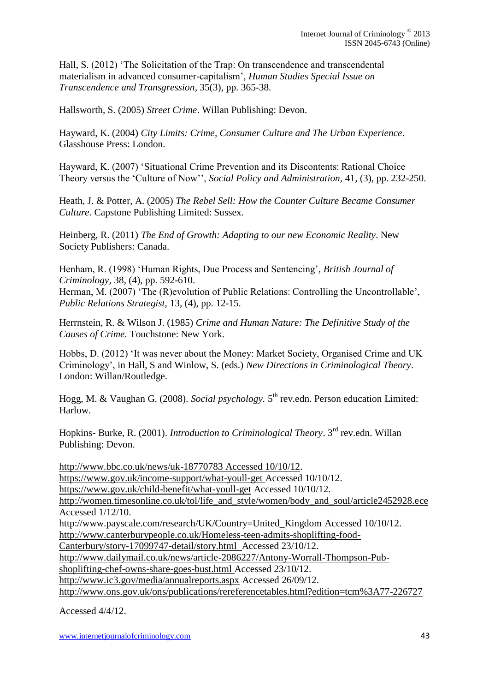Hall, S. (2012) 'The Solicitation of the Trap: On transcendence and transcendental materialism in advanced consumer-capitalism', *Human Studies Special Issue on Transcendence and Transgression*, 35(3), pp. 365-38.

Hallsworth, S. (2005) *Street Crime*. Willan Publishing: Devon.

Hayward, K. (2004) *City Limits: Crime, Consumer Culture and The Urban Experience*. Glasshouse Press: London.

Hayward, K. (2007) 'Situational Crime Prevention and its Discontents: Rational Choice Theory versus the 'Culture of Now'', *Social Policy and Administration,* 41, (3), pp. 232-250.

Heath, J. & Potter, A. (2005) *The Rebel Sell: How the Counter Culture Became Consumer Culture.* Capstone Publishing Limited: Sussex.

Heinberg, R. (2011) *The End of Growth: Adapting to our new Economic Reality*. New Society Publishers: Canada.

Henham, R. (1998) 'Human Rights, Due Process and Sentencing'*, British Journal of Criminology,* 38, (4), pp. 592-610.

Herman, M. (2007) 'The (R)evolution of Public Relations: Controlling the Uncontrollable', *Public Relations Strategist,* 13, (4), pp. 12-15.

Herrnstein, R. & Wilson J. (1985) *Crime and Human Nature: The Definitive Study of the Causes of Crime.* Touchstone: New York.

Hobbs, D. (2012) 'It was never about the Money: Market Society, Organised Crime and UK Criminology', in Hall, S and Winlow, S. (eds.) *New Directions in Criminological Theory*. London: Willan/Routledge.

Hogg, M. & Vaughan G. (2008). *Social psychology*. 5<sup>th</sup> rev.edn. Person education Limited: Harlow.

Hopkins- Burke, R. (2001). *Introduction to Criminological Theory*. 3rd rev.edn. Willan Publishing: Devon.

[http://www.bbc.co.uk/news/uk-18770783 Accessed 10/10/12.](http://www.bbc.co.uk/news/uk-18770783%20Accessed%2010/10/12) [https://www.gov.uk/income-support/what-youll-get Accessed 10/10/12.](https://www.gov.uk/income-support/what-youll-get%20Accessed%2010/10/12) <https://www.gov.uk/child-benefit/what-youll-get> Accessed 10/10/12. [http://women.timesonline.co.uk/tol/life\\_and\\_style/women/body\\_and\\_soul/article2452928.ece](http://women.timesonline.co.uk/tol/life_and_style/women/body_and_soul/article2452928.ece)  Accessed 1/12/10. [http://www.payscale.com/research/UK/Country=United\\_Kingdom](http://www.payscale.com/research/UK/Country=United_Kingdom) Accessed 10/10/12. [http://www.canterburypeople.co.uk/Homeless-teen-admits-shoplifting-food-](http://www.canterburypeople.co.uk/Homeless-teen-admits-shoplifting-food-Canterbury/story-17099747-detail/story.html%20%20Accessed%2023/10/12)[Canterbury/story-17099747-detail/story.html Accessed 23/10/12.](http://www.canterburypeople.co.uk/Homeless-teen-admits-shoplifting-food-Canterbury/story-17099747-detail/story.html%20%20Accessed%2023/10/12) [http://www.dailymail.co.uk/news/article-2086227/Antony-Worrall-Thompson-Pub](http://www.dailymail.co.uk/news/article-2086227/Antony-Worrall-Thompson-Pub-shoplifting-chef-owns-share-goes-bust.html%20Accessed%2023/10/12)[shoplifting-chef-owns-share-goes-bust.html Accessed 23/10/12.](http://www.dailymail.co.uk/news/article-2086227/Antony-Worrall-Thompson-Pub-shoplifting-chef-owns-share-goes-bust.html%20Accessed%2023/10/12) <http://www.ic3.gov/media/annualreports.aspx> Accessed 26/09/12. <http://www.ons.gov.uk/ons/publications/rereferencetables.html?edition=tcm%3A77-226727>

Accessed 4/4/12.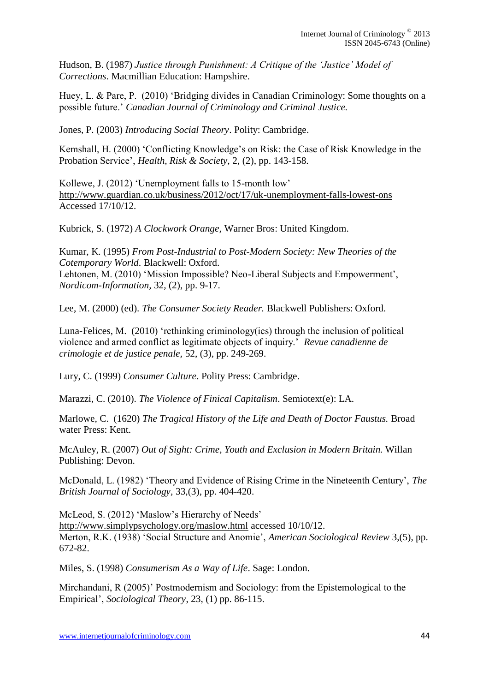Hudson, B. (1987) *Justice through Punishment: A Critique of the 'Justice' Model of Corrections*. Macmillian Education: Hampshire.

Huey, L. & Pare, P. (2010) 'Bridging divides in Canadian Criminology: Some thoughts on a possible future.' *Canadian Journal of Criminology and Criminal Justice.* 

Jones, P. (2003) *Introducing Social Theory*. Polity: Cambridge.

Kemshall, H. (2000) 'Conflicting Knowledge's on Risk: the Case of Risk Knowledge in the Probation Service', *Health, Risk & Society,* 2, (2), pp. 143-158.

Kollewe, J. (2012) 'Unemployment falls to 15-month low' <http://www.guardian.co.uk/business/2012/oct/17/uk-unemployment-falls-lowest-ons> Accessed 17/10/12.

Kubrick, S. (1972) *A Clockwork Orange,* Warner Bros: United Kingdom.

Kumar, K. (1995) *From Post-Industrial to Post-Modern Society: New Theories of the Cotemporary World*. Blackwell: Oxford.

Lehtonen, M. (2010) 'Mission Impossible? Neo-Liberal Subjects and Empowerment', *Nordicom-Information,* 32, (2), pp. 9-17.

Lee, M. (2000) (ed). *The Consumer Society Reader.* Blackwell Publishers: Oxford.

Luna-Felices, M. (2010) 'rethinking criminology(ies) through the inclusion of political violence and armed conflict as legitimate objects of inquiry.' *Revue canadienne de crimologie et de justice penale,* 52, (3), pp. 249-269.

Lury, C. (1999) *Consumer Culture*. Polity Press: Cambridge.

Marazzi, C. (2010). *The Violence of Finical Capitalism*. Semiotext(e): LA.

Marlowe, C. (1620) *The Tragical History of the Life and Death of Doctor Faustus.* Broad water Press: Kent.

McAuley, R. (2007) *Out of Sight: Crime, Youth and Exclusion in Modern Britain.* Willan Publishing: Devon.

McDonald, L. (1982) 'Theory and Evidence of Rising Crime in the Nineteenth Century', *The British Journal of Sociology,* 33,(3), pp. 404-420.

McLeod, S. (2012) 'Maslow's Hierarchy of Needs' <http://www.simplypsychology.org/maslow.html> accessed 10/10/12. Merton, R.K. (1938) 'Social Structure and Anomie', *American Sociological Review* 3,(5), pp. 672-82.

Miles, S. (1998) *Consumerism As a Way of Life*. Sage: London.

Mirchandani, R (2005)' Postmodernism and Sociology: from the Epistemological to the Empirical', *Sociological Theory*, 23, (1) pp. 86-115.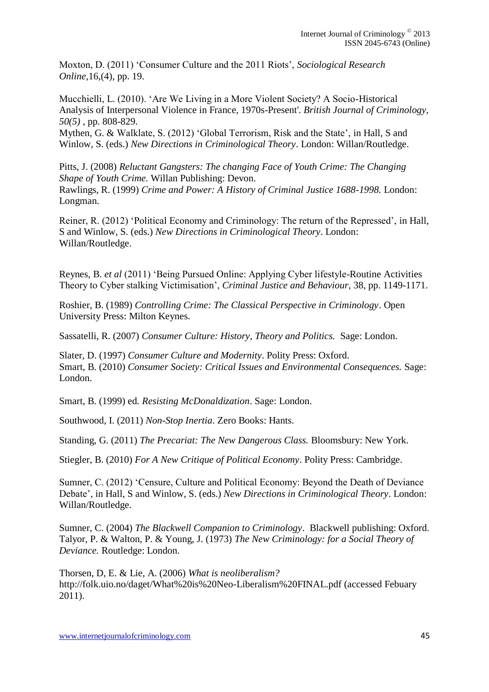Moxton, D. (2011) 'Consumer Culture and the 2011 Riots', *Sociological Research Online,*16,(4), pp. 19.

Mucchielli, L. (2010). 'Are We Living in a More Violent Society? A Socio-Historical Analysis of Interpersonal Violence in France, 1970s-Present'. *British Journal of Criminology, 50(5)* , pp. 808-829.

Mythen, G. & Walklate, S. (2012) 'Global Terrorism, Risk and the State', in Hall, S and Winlow, S. (eds.) *New Directions in Criminological Theory*. London: Willan/Routledge.

Pitts, J. (2008) *Reluctant Gangsters: The changing Face of Youth Crime: The Changing Shape of Youth Crime.* Willan Publishing: Devon. Rawlings, R. (1999) *Crime and Power: A History of Criminal Justice 1688-1998.* London: Longman.

Reiner, R. (2012) 'Political Economy and Criminology: The return of the Repressed', in Hall, S and Winlow, S. (eds.) *New Directions in Criminological Theory*. London: Willan/Routledge.

Reynes, B. *et al* (2011) 'Being Pursued Online: Applying Cyber lifestyle-Routine Activities Theory to Cyber stalking Victimisation', *Criminal Justice and Behaviour,* 38, pp. 1149-1171.

Roshier, B. (1989) *Controlling Crime: The Classical Perspective in Criminology*. Open University Press: Milton Keynes.

Sassatelli, R. (2007) *Consumer Culture: History, Theory and Politics.* Sage: London.

Slater, D. (1997) *Consumer Culture and Modernity*. Polity Press: Oxford. Smart, B. (2010) *Consumer Society: Critical Issues and Environmental Consequences.* Sage: London.

Smart, B. (1999) ed*. Resisting McDonaldization*. Sage: London.

Southwood, I. (2011) *Non-Stop Inertia*. Zero Books: Hants.

Standing, G. (2011) *The Precariat: The New Dangerous Class.* Bloomsbury: New York.

Stiegler, B. (2010) *For A New Critique of Political Economy*. Polity Press: Cambridge.

Sumner, C. (2012) 'Censure, Culture and Political Economy: Beyond the Death of Deviance Debate', in Hall, S and Winlow, S. (eds.) *New Directions in Criminological Theory*. London: Willan/Routledge.

Sumner, C. (2004) *The Blackwell Companion to Criminology*. Blackwell publishing: Oxford. Talyor, P. & Walton, P. & Young, J. (1973) *The New Criminology: for a Social Theory of Deviance.* Routledge: London.

Thorsen, D, E. & Lie, A. (2006) *What is neoliberalism?* http://folk.uio.no/daget/What%20is%20Neo-Liberalism%20FINAL.pdf (accessed Febuary 2011).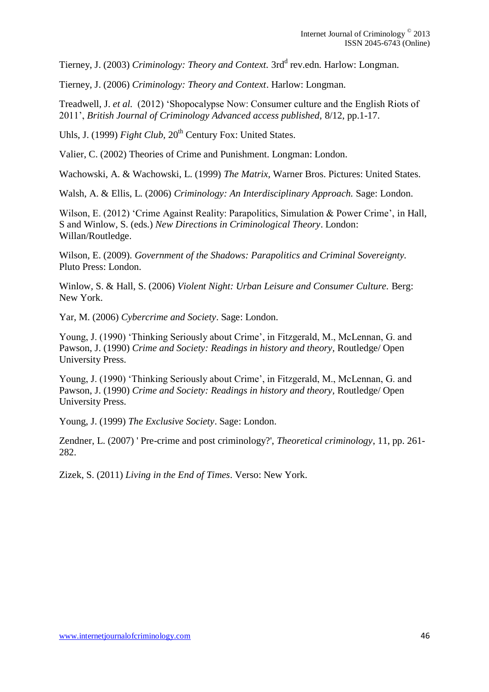Tierney, J. (2003) *Criminology: Theory and Context.* 3rd<sup>d</sup> rev.edn. Harlow: Longman.

Tierney, J. (2006) *Criminology: Theory and Context*. Harlow: Longman.

Treadwell, J. *et al.* (2012) 'Shopocalypse Now: Consumer culture and the English Riots of 2011', *British Journal of Criminology Advanced access published,* 8/12, pp.1-17.

Uhls, J. (1999) *Fight Club*, 20<sup>th</sup> Century Fox: United States.

Valier, C. (2002) Theories of Crime and Punishment. Longman: London.

Wachowski, A. & Wachowski, L. (1999) *The Matrix,* Warner Bros. Pictures: United States.

Walsh, A. & Ellis, L. (2006) *Criminology: An Interdisciplinary Approach.* Sage: London.

Wilson, E. (2012) 'Crime Against Reality: Parapolitics, Simulation & Power Crime', in Hall, S and Winlow, S. (eds.) *New Directions in Criminological Theory*. London: Willan/Routledge.

Wilson, E. (2009). *Government of the Shadows: Parapolitics and Criminal Sovereignty.* Pluto Press: London.

Winlow, S. & Hall, S. (2006) *Violent Night: Urban Leisure and Consumer Culture.* Berg: New York.

Yar, M. (2006) *Cybercrime and Society*. Sage: London.

Young, J. (1990) 'Thinking Seriously about Crime', in Fitzgerald, M., McLennan, G. and Pawson, J. (1990) *Crime and Society: Readings in history and theory,* Routledge/ Open University Press.

Young, J. (1990) 'Thinking Seriously about Crime', in Fitzgerald, M., McLennan, G. and Pawson, J. (1990) *Crime and Society: Readings in history and theory,* Routledge/ Open University Press.

Young, J. (1999) *The Exclusive Society*. Sage: London.

Zendner, L. (2007) ' Pre-crime and post criminology?', *Theoretical criminology*, 11, pp. 261- 282.

Zizek, S. (2011) *Living in the End of Times*. Verso: New York.